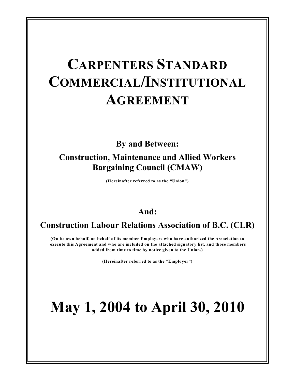# **CARPENTERS STANDARD COMMERCIAL/INSTITUTIONAL AGREEMENT**

**By and Between:**

# **Construction, Maintenance and Allied Workers Bargaining Council (CMAW)**

**(Hereinafter referred to as the "Union")**

# **And:**

# **Construction Labour Relations Association of B.C. (CLR)**

**(On its own behalf, on behalf of its member Employers who have authorized the Association to execute this Agreement and who are included on the attached signatory list, and those members added from time to time by notice given to the Union.)**

**(Hereinafter referred to as the "Employer")**

# **May 1, 2004 to April 30, 2010**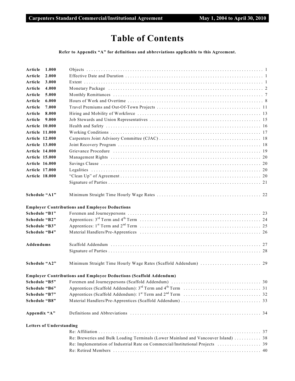# **Table of Contents**

**Refer to Appendix "A" for definitions and abbreviations applicable to this Agreement.**

| Article<br>1.000                |                                                                                                                                           |    |
|---------------------------------|-------------------------------------------------------------------------------------------------------------------------------------------|----|
| 2.000<br>Article                |                                                                                                                                           |    |
| Article<br>3.000                |                                                                                                                                           |    |
| Article<br>4.000                | Monetary Package (and according to the control of the control of the control of the control of the control of $2$                         |    |
| 5.000<br>Article                |                                                                                                                                           |    |
| Article<br>6.000                |                                                                                                                                           |    |
| Article<br>7.000                |                                                                                                                                           |    |
| Article<br>8.000                |                                                                                                                                           |    |
| Article<br>9.000                |                                                                                                                                           |    |
| <b>Article 10.000</b>           |                                                                                                                                           |    |
| <b>Article 11.000</b>           |                                                                                                                                           |    |
| <b>Article 12.000</b>           |                                                                                                                                           |    |
| <b>Article 13.000</b>           |                                                                                                                                           |    |
| Article 14.000                  |                                                                                                                                           |    |
| <b>Article 15.000</b>           |                                                                                                                                           |    |
| <b>Article 16.000</b>           |                                                                                                                                           |    |
| <b>Article 17.000</b>           |                                                                                                                                           |    |
| <b>Article 18.000</b>           |                                                                                                                                           |    |
|                                 |                                                                                                                                           |    |
|                                 |                                                                                                                                           |    |
| Schedule "A1"                   |                                                                                                                                           |    |
|                                 |                                                                                                                                           |    |
|                                 | <b>Employer Contributions and Employee Deductions</b>                                                                                     |    |
| Schedule "B1"                   |                                                                                                                                           |    |
| Schedule "B2"                   |                                                                                                                                           |    |
| Schedule "B3"                   |                                                                                                                                           |    |
| Schedule "B4"                   |                                                                                                                                           |    |
|                                 |                                                                                                                                           |    |
| Addendums                       |                                                                                                                                           |    |
|                                 |                                                                                                                                           |    |
|                                 |                                                                                                                                           |    |
| Schedule "A2"                   |                                                                                                                                           |    |
|                                 |                                                                                                                                           |    |
|                                 | <b>Employer Contributions and Employee Deductions (Scaffold Addendum)</b><br>Schedule "B5" Foremen and Journeypersons (Scaffold Addendum) | 30 |
|                                 |                                                                                                                                           |    |
| Schedule "B6"                   |                                                                                                                                           |    |
| Schedule "B7"                   |                                                                                                                                           |    |
| Schedule "B8"                   |                                                                                                                                           |    |
| Appendix "A"                    |                                                                                                                                           |    |
|                                 |                                                                                                                                           |    |
| <b>Letters of Understanding</b> |                                                                                                                                           |    |
|                                 |                                                                                                                                           |    |
|                                 | Re: Breweries and Bulk Loading Terminals (Lower Mainland and Vancouver Island)  38                                                        |    |
|                                 |                                                                                                                                           |    |
|                                 |                                                                                                                                           |    |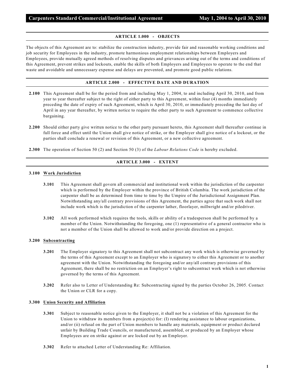#### **ARTICLE 1.000 - OBJECTS**

The objects of this Agreement are to: stabilize the construction industry, provide fair and reasonable working conditions and job security for Employees in the industry, promote harmonious employment relationships between Employers and Employees, provide mutually agreed methods of resolving disputes and grievances arising out of the terms and conditions of this Agreement, prevent strikes and lockouts, enable the skills of both Employers and Employees to operate to the end that waste and avoidable and unnecessary expense and delays are prevented, and promote good public relations.

## **ARTICLE 2.000 - EFFECTIVE DATE AND DURATION**

- **2.100** This Agreement shall be for the period from and including May 1, 2004, to and including April 30, 2010, and from year to year thereafter subject to the right of either party to this Agreement, within four (4) months immediately preceding the date of expiry of such Agreement, which is April 30, 2010, or immediately preceding the last day of April in any year thereafter, by written notice to require the other party to such Agreement to commence collective bargaining.
- **2.200** Should either party give written notice to the other party pursuant hereto, this Agreement shall thereafter continue in full force and effect until the Union shall give notice of strike, or the Employer shall give notice of a lockout, or the parties shall conclude a renewal or revision of this Agreement, or a new collective agreement.
- **2.300** The operation of Section 50 (2) and Section 50 (3) of the *Labour Relations Code* is hereby excluded.

# **ARTICLE 3.000 - EXTENT**

#### **3.100 Work Jurisdiction**

- **3.101** This Agreement shall govern all commercial and institutional work within the jurisdiction of the carpenter which is performed by the Employer within the province of British Columbia. The work jurisdiction of the carpenter shall be as determined from time to time by the Umpire of the Jurisdictional Assignment Plan. Notwithstanding any/all contrary provisions of this Agreement, the parties agree that such work shall not include work which is the jurisdiction of the carpenter lather, floorlayer, millwright and/or piledriver.
- **3.102** All work performed which requires the tools, skills or ability of a tradesperson shall be performed by a member of the Union. Notwithstanding the foregoing, one (1) representative of a general contractor who is not a member of the Union shall be allowed to work and/or provide direction on a project.

#### **3.200 Subcontracting**

- **3.201** The Employer signatory to this Agreement shall not subcontract any work which is otherwise governed by the terms of this Agreement except to an Employer who is signatory to either this Agreement or to another agreement with the Union. Notwithstanding the foregoing and/or any/all contrary provisions of this Agreement, there shall be no restriction on an Employer's right to subcontract work which is not otherwise governed by the terms of this Agreement.
- **3.202** Refer also to Letter of Understanding Re: Subcontracting signed by the parties October 26, 2005. Contact the Union or CLR for a copy.

#### **3.300 Union Security and Affiliation**

- **3.301** Subject to reasonable notice given to the Employer, it shall not be a violation of this Agreement for the Union to withdraw its members from a project(s) for: (I) rendering assistance to labour organizations, and/or (ii) refusal on the part of Union members to handle any materials, equipment or product declared unfair by Building Trade Councils, or manufactured, assembled, or produced by an Employer whose Employees are on strike against or are locked out by an Employer.
- **3.302** Refer to attached Letter of Understanding Re: Affiliation.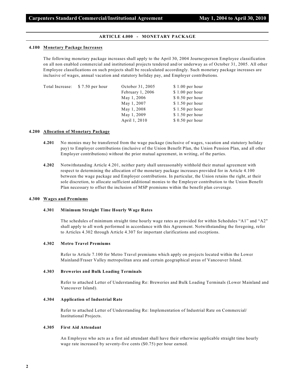#### **ARTICLE 4.000 - MONETARY PACKAGE**

#### **4.100 Monetary Package Increases**

The following monetary package increases shall apply to the April 30, 2004 Journeyperson Employee classification on all non enabled commercial and institutional projects tendered and/or underway as of October 31, 2005. All other Employee classifications on such projects shall be recalculated accordingly. Such monetary package increases are inclusive of wages, annual vacation and statutory holiday pay, and Employer contributions.

| Total Increase: \$7.50 per hour | October 31, 2005 | $$1.00$ per hour |
|---------------------------------|------------------|------------------|
|                                 | February 1, 2006 | $$1.00$ per hour |
|                                 | May 1, 2006      | $$0.50$ per hour |
|                                 | May 1, 2007      | $$1.50$ per hour |
|                                 | May 1, 2008      | $$1.50$ per hour |
|                                 | May 1, 2009      | $$1.50$ per hour |
|                                 | April 1, 2010    | $$0.50$ per hour |
|                                 |                  |                  |

#### **4.200 Allocation of Monetary Package**

- **4.201** No monies may be transferred from the wage package (inclusive of wages, vacation and statutory holiday pay) to Employer contributions (inclusive of the Union Benefit Plan, the Union Pension Plan, and all other Employer contributions) without the prior mutual agreement, in writing, of the parties.
- **4.202** Notwithstanding Article 4.201, neither party shall unreasonably withhold their mutual agreement with respect to determining the allocation of the monetary package increases provided for in Article 4.100 between the wage package and Employer contributions. In particular, the Union retains the right, at their sole discretion, to allocate sufficient additional monies to the Employer contribution to the Union Benefit Plan necessary to offset the inclusion of MSP premiums within the benefit plan coverage.

#### **4.300 Wages and Premiums**

#### **4.301 Minimum Straight Time Hourly Wage Rates**

The schedules of minimum straight time hourly wage rates as provided for within Schedules "A1" and "A2" shall apply to all work performed in accordance with this Agreement. Notwithstanding the foregoing, refer to Articles 4.302 through Article 4.307 for important clarifications and exceptions.

#### **4.302 Metro Travel Premiums**

Refer to Article 7.100 for Metro Travel premiums which apply on projects located within the Lower Mainland/Fraser Valley metropolitan area and certain geographical areas of Vancouver Island.

#### **4.303 Breweries and Bulk Loading Terminals**

Refer to attached Letter of Understanding Re: Breweries and Bulk Loading Terminals (Lower Mainland and Vancouver Island).

#### **4.304 Application of Industrial Rate**

Refer to attached Letter of Understanding Re: Implementation of Industrial Rate on Commercial/ Institutional Projects.

#### **4.305 First Aid Attendant**

An Employee who acts as a first aid attendant shall have their otherwise applicable straight time hourly wage rate increased by seventy-five cents (\$0.75) per hour earned.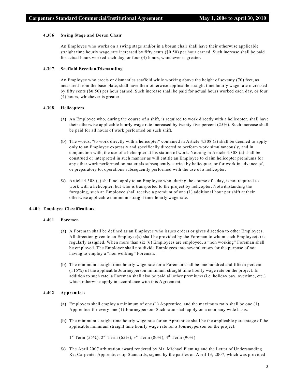#### **4.306 Swing Stage and Bosun Chair**

An Employee who works on a swing stage and/or in a bosun chair shall have their otherwise applicable straight time hourly wage rate increased by fifty cents (\$0.50) per hour earned. Such increase shall be paid for actual hours worked each day, or four (4) hours, whichever is greater.

#### **4.307 Scaffold Erection/Dismantling**

An Employee who erects or dismantles scaffold while working above the height of seventy (70) feet, as measured from the base plate, shall have their otherwise applicable straight time hourly wage rate increased by fifty cents (\$0.50) per hour earned. Such increase shall be paid for actual hours worked each day, or four (4) hours, whichever is greater.

#### **4.308 Helicopters**

- **(a)** An Employee who, during the course of a shift, is required to work directly with a helicopter, shall have their otherwise applicable hourly wage rate increased by twenty-five percent (25%). Such increase shall be paid for all hours of work performed on such shift.
- **(b)** The words, "to work directly with a helicopter" contained in Article 4.308 (a) shall be deemed to apply only to an Employee expressly and specifically directed to perform work simultaneously, and in conjunction with, the use of a helicopter at his station of work. Nothing in Article 4.308 (a) shall be construed or interpreted in such manner as will entitle an Employee to claim helicopter premiums for any other work performed on materials subsequently carried by helicopter, or for work in advance of, or preparatory to, operations subsequently performed with the use of a helicopter.
- **©)** Article 4.308 (a) shall not apply to an Employee who, during the course of a day, is not required to work with a helicopter, but who is transported to the project by helicopter. Notwithstanding the foregoing, such an Employee shall receive a premium of one (1) additional hour per shift at their otherwise applicable minimum straight time hourly wage rate.

#### **4.400 Employee Classifications**

#### **4.401 Foremen**

- **(a)** A Foreman shall be defined as an Employee who issues orders or gives direction to other Employees. All direction given to an Employee(s) shall be provided by the Foreman to whom such Employee(s) is regularly assigned. When more than six (6) Employees are employed, a "non working" Foreman shall be employed. The Employer shall not divide Employees into several crews for the purpose of not having to employ a "non working" Foreman.
- **(b)** The minimum straight time hourly wage rate for a Foreman shall be one hundred and fifteen percent (115%) of the applicable Journeyperson minimum straight time hourly wage rate on the project. In addition to such rate, a Foreman shall also be paid all other premiums (i.e. holiday pay, overtime, etc.) which otherwise apply in accordance with this Agreement.

#### **4.402 Apprentices**

- **(a)** Employers shall employ a minimum of one (1) Apprentice, and the maximum ratio shall be one (1) Apprentice for every one (1) Journeyperson. Such ratio shall apply on a company wide basis.
- **(b)** The minimum straight time hourly wage rate for an Apprentice shall be the applicable percentage of the applicable minimum straight time hourly wage rate for a Journeyperson on the project.

 $1<sup>st</sup> Term (55%), 2<sup>nd</sup> Term (65%), 3<sup>rd</sup> Term (80%), 4<sup>th</sup> Term (90%)$ 

**©)** The April 2007 arbitration award rendered by Mr. Michael Fleming and the Letter of Understanding Re: Carpenter Apprenticeship Standards, signed by the parties on April 13, 2007, which was provided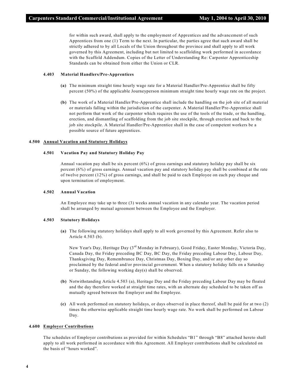for within such award, shall apply to the employment of Apprentices and the advancement of such Apprentices from one (1) Term to the next. In particular, the parties agree that such award shall be strictly adhered to by all Locals of the Union throughout the province and shall apply to all work governed by this Agreement, including but not limited to scaffolding work performed in accordance with the Scaffold Addendum. Copies of the Letter of Understanding Re: Carpenter Apprenticeship Standards can be obtained from either the Union or CLR.

#### **4.403 Material Handlers/Pre-Apprentices**

- **(a)** The minimum straight time hourly wage rate for a Material Handler/Pre-Apprentice shall be fifty percent (50%) of the applicable Journeyperson minimum straight time hourly wage rate on the project.
- **(b)** The work of a Material Handler/Pre-Apprentice shall include the handling on the job site of all material or materials falling within the jurisdiction of the carpenter. A Material Handler/Pre-Apprentice shall not perform that work of the carpenter which requires the use of the tools of the trade, or the handling, erection, and dismantling of scaffolding from the job site stockpile, through erection and back to the job site stockpile. A Material Handler/Pre-Apprentice shall in the case of competent workers be a possible source of future apprentices.

#### **4.500 Annual Vacation and Statutory Holidays**

#### **4.501 Vacation Pay and Statutory Holiday Pay**

Annual vacation pay shall be six percent (6%) of gross earnings and statutory holiday pay shall be six percent (6%) of gross earnings. Annual vacation pay and statutory holiday pay shall be combined at the rate of twelve percent (12%) of gross earnings, and shall be paid to each Employee on each pay cheque and upon termination of employment.

#### **4.502 Annual Vacation**

An Employee may take up to three (3) weeks annual vacation in any calendar year. The vacation period shall be arranged by mutual agreement between the Employee and the Employer.

#### **4.503 Statutory Holidays**

**(a)** The following statutory holidays shall apply to all work governed by this Agreement. Refer also to Article 4.503 (b).

New Year's Day, Heritage Day (3<sup>rd</sup> Monday in February), Good Friday, Easter Monday, Victoria Day, Canada Day, the Friday preceding BC Day, BC Day, the Friday preceding Labour Day, Labour Day, Thanksgiving Day, Remembrance Day, Christmas Day, Boxing Day, and/or any other day so proclaimed by the federal and/or provincial government. When a statutory holiday falls on a Saturday or Sunday, the following working day(s) shall be observed.

- **(b)** Notwithstanding Article 4.503 (a), Heritage Day and the Friday preceding Labour Day may be floated and the day therefore worked at straight time rates, with an alternate day scheduled to be taken off as mutually agreed between the Employer and the Employee.
- **(c)** All work performed on statutory holidays, or days observed in place thereof, shall be paid for at two (2) times the otherwise applicable straight time hourly wage rate. No work shall be performed on Labour Day.

#### **4.600 Employer Contributions**

The schedules of Employer contributions as provided for within Schedules "B1" through "B8" attached hereto shall apply to all work performed in accordance with this Agreement. All Employer contributions shall be calculated on the basis of "hours worked".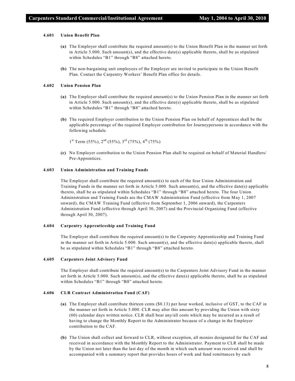#### **4.601 Union Benefit Plan**

- **(a)** The Employer shall contribute the required amount(s) to the Union Benefit Plan in the manner set forth in Article 5.000. Such amount(s), and the effective date(s) applicable thereto, shall be as stipulated within Schedules "B1" through "B8" attached hereto.
- **(b)** The non-bargaining unit employees of the Employer are invited to participate in the Union Benefit Plan. Contact the Carpentry Workers' Benefit Plan office for details.

#### **4.602 Union Pension Plan**

- **(a)** The Employer shall contribute the required amount(s) to the Union Pension Plan in the manner set forth in Article 5.000. Such amount(s), and the effective date(s) applicable thereto, shall be as stipulated within Schedules "B1" through "B8" attached hereto.
- **(b)** The required Employer contribution to the Union Pension Plan on behalf of Apprentices shall be the applicable percentage of the required Employer contribution for Journeypersons in accordance with the following schedule.

 $1<sup>st</sup> Term (55%), 2<sup>nd</sup> (55%), 3<sup>rd</sup> (75%), 4<sup>th</sup> (75%)$ 

**(c)** No Employer contribution to the Union Pension Plan shall be required on behalf of Material Handlers/ Pre-Apprentices.

#### **4.603 Union Administration and Training Funds**

The Employer shall contribute the required amount(s) to each of the four Union Administration and Training Funds in the manner set forth in Article 5.000. Such amount(s), and the effective date(s) applicable thereto, shall be as stipulated within Schedules "B1" through "B8" attached hereto. The four Union Administration and Training Funds are the CMAW Administration Fund (effective from May 1, 2007 onward), the CMAW Training Fund (effective from September 1, 2006 onward), the Carpenters Administration Fund (effective through April 30, 2007) and the Provincial Organizing Fund (effective through April 30, 2007).

#### **4.604 Carpentry Apprenticeship and Training Fund**

The Employer shall contribute the required amount(s) to the Carpentry Apprenticeship and Training Fund in the manner set forth in Article 5.000. Such amount(s), and the effective date(s) applicable thereto, shall be as stipulated within Schedules "B1" through "B8" attached hereto.

#### **4.605 Carpenters Joint Advisory Fund**

The Employer shall contribute the required amount(s) to the Carpenters Joint Advisory Fund in the manner set forth in Article 5.000. Such amount(s), and the effective date(s) applicable thereto, shall be as stipulated within Schedules "B1" through "B8" attached hereto.

#### **4.606 CLR Contract Administration Fund (CAF)**

- **(a)** The Employer shall contribute thirteen cents (\$0.13) per hour worked, inclusive of GST, to the CAF in the manner set forth in Article 5.000. CLR may alter this amount by providing the Union with sixty (60) calendar days written notice. CLR shall bear any/all costs which may be incurred as a result of having to change the Monthly Report to the Administrator because of a change in the Employer contribution to the CAF.
- **(b)** The Union shall collect and forward to CLR, without exception, all monies designated for the CAF and received in accordance with the Monthly Report to the Administrator. Payment to CLR shall be made by the Union not later than the last day of the month in which such amount was received and shall be accompanied with a summary report that provides hours of work and fund remittances by each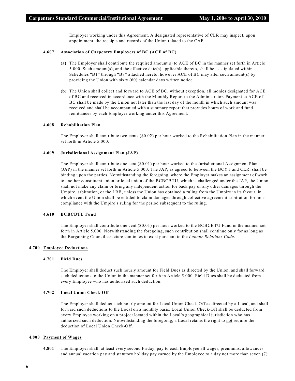Employer working under this Agreement. A designated representative of CLR may inspect, upon appointment, the receipts and records of the Union related to the CAF.

#### **4.607 Association of Carpentry Employers of BC (ACE of BC)**

- **(a)** The Employer shall contribute the required amount(s) to ACE of BC in the manner set forth in Article 5.000. Such amount(s), and the effective date(s) applicable thereto, shall be as stipulated within Schedules "B1" through "B8" attached hereto, however ACE of BC may alter such amount(s) by providing the Union with sixty (60) calendar days written notice.
- **(b)** The Union shall collect and forward to ACE of BC, without exception, all monies designated for ACE of BC and received in accordance with the Monthly Report to the Administrator. Payment to ACE of BC shall be made by the Union not later than the last day of the month in which such amount was received and shall be accompanied with a summary report that provides hours of work and fund remittances by each Employer working under this Agreement.

#### **4.608 Rehabilitation Plan**

The Employer shall contribute two cents (\$0.02) per hour worked to the Rehabilitation Plan in the manner set forth in Article 5.000.

#### **4.609 Jurisdictional Assignment Plan (JAP)**

The Employer shall contribute one cent (\$0.01) per hour worked to the Jurisdictional Assignment Plan (JAP) in the manner set forth in Article 5.000. The JAP, as agreed to between the BCYT and CLR, shall be binding upon the parties. Notwithstanding the foregoing, where the Employer makes an assignment of work to another constituent union or local union of the BCBCBTU, which is challenged under the JAP, the Union shall not make any claim or bring any independent action for back pay or any other damages through the Umpire, arbitration, or the LRB, unless the Union has obtained a ruling from the Umpire in its favour, in which event the Union shall be entitled to claim damages through collective agreement arbitration for noncompliance with the Umpire's ruling for the period subsequent to the ruling.

#### **4.610 BCBCBTU Fund**

The Employer shall contribute one cent (\$0.01) per hour worked to the BCBCBTU Fund in the manner set forth in Article 5.000. Notwithstanding the foregoing, such contribution shall continue only for as long as the Bargaining Council structure continues to exist pursuant to the *Labour Relations Code*.

#### **4.700 Employee Deductions**

#### **4.701 Field Dues**

The Employer shall deduct such hourly amount for Field Dues as directed by the Union, and shall forward such deductions to the Union in the manner set forth in Article 5.000. Field Dues shall be deducted from every Employee who has authorized such deduction.

#### **4.702 Local Union Check-Off**

The Employer shall deduct such hourly amount for Local Union Check-Off as directed by a Local, and shall forward such deductions to the Local on a monthly basis. Local Union Check-Off shall be deducted from every Employee working on a project located within the Local's geographical jurisdiction who has authorized such deduction. Notwithstanding the foregoing, a Local retains the right to not require the deduction of Local Union Check-Off.

#### **4.800 Payment of Wages**

**4.801** The Employer shall, at least every second Friday, pay to each Employee all wages, premiums, allowances and annual vacation pay and statutory holiday pay earned by the Employee to a day not more than seven (7)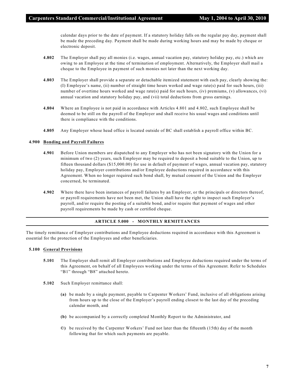calendar days prior to the date of payment. If a statutory holiday falls on the regular pay day, payment shall be made the preceding day. Payment shall be made during working hours and may be made by cheque or electronic deposit.

- **4.802** The Employer shall pay all monies (i.e. wages, annual vacation pay, statutory holiday pay, etc.) which are owing to an Employee at the time of termination of employment. Alternatively, the Employer shall mail a cheque to the Employee in payment of such monies not later than the next working day.
- **4.803** The Employer shall provide a separate or detachable itemized statement with each pay, clearly showing the: (I) Employee's name, (ii) number of straight time hours worked and wage rate(s) paid for such hours, (iii) number of overtime hours worked and wage rate(s) paid for such hours, (iv) premiums, (v) allowances, (vi) annual vacation and statutory holiday pay, and (vii) total deductions from gross earnings.
- **4.804** Where an Employee is not paid in accordance with Articles 4.801 and 4.802, such Employee shall be deemed to be still on the payroll of the Employer and shall receive his usual wages and conditions until there is compliance with the conditions.
- **4.805** Any Employer whose head office is located outside of BC shall establish a payroll office within BC.

#### **4.900 Bonding and Payroll Failures**

- **4.901** Before Union members are dispatched to any Employer who has not been signatory with the Union for a minimum of two (2) years, such Employer may be required to deposit a bond suitable to the Union, up to fifteen thousand dollars (\$15,000.00) for use in default of payment of wages, annual vacation pay, statutory holiday pay, Employer contributions and/or Employee deductions required in accordance with this Agreement. When no longer required such bond shall, by mutual consent of the Union and the Employer concerned, be terminated.
- **4.902** Where there have been instances of payroll failures by an Employer, or the principals or directors thereof, or payroll requirements have not been met, the Union shall have the right to inspect such Employer's payroll, and/or require the posting of a suitable bond, and/or require that payment of wages and other payroll requirements be made by cash or certified cheque.

#### **ARTICLE 5.000 - MONTHLY REMITTANCES**

The timely remittance of Employer contributions and Employee deductions required in accordance with this Agreement is essential for the protection of the Employees and other beneficiaries.

#### **5.100 General Provisions**

- **5.101** The Employer shall remit all Employer contributions and Employee deductions required under the terms of this Agreement, on behalf of all Employees working under the terms of this Agreement. Refer to Schedules "B1" through "B8" attached hereto.
- **5.102** Such Employer remittance shall:
	- **(a)** be made by a single payment, payable to Carpenter Workers' Fund, inclusive of all obligations arising from hours up to the close of the Employer's payroll ending closest to the last day of the preceding calendar month, and
	- **(b)** be accompanied by a correctly completed Monthly Report to the Administrator, and
	- **©)** be received by the Carpenter Workers' Fund not later than the fifteenth (15th) day of the month following that for which such payments are payable.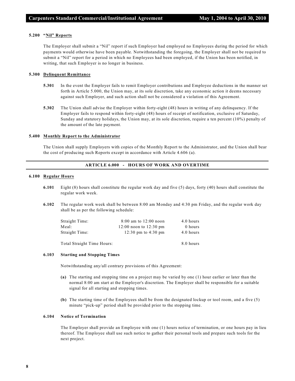#### **5.200 "Nil" Reports**

The Employer shall submit a "Nil" report if such Employer had employed no Employees during the period for which payments would otherwise have been payable. Notwithstanding the foregoing, the Employer shall not be required to submit a "Nil" report for a period in which no Employees had been employed, if the Union has been notified, in writing, that such Employer is no longer in business.

#### **5.300 Delinquent Remittance**

- **5.301** In the event the Employer fails to remit Employer contributions and Employee deductions in the manner set forth in Article 5.000, the Union may, at its sole discretion, take any economic action it deems necessary against such Employer, and such action shall not be considered a violation of this Agreement.
- **5.302** The Union shall advise the Employer within forty-eight (48) hours in writing of any delinquency. If the Employer fails to respond within forty-eight (48) hours of receipt of notification, exclusive of Saturday, Sunday and statutory holidays, the Union may, at its sole discretion, require a ten percent (10%) penalty of the amount of the late payment.

#### **5.400 Monthly Report to the Administrator**

The Union shall supply Employers with copies of the Monthly Report to the Administrator, and the Union shall bear the cost of producing such Reports except in accordance with Article 4.606 (a).

# **ARTICLE 6.000 - HOURS OF WORK AND OVERTIME**

#### **6.100 Regular Hours**

- **6.101** Eight (8) hours shall constitute the regular work day and five (5) days, forty (40) hours shall constitute the regular work week.
- **6.102** The regular work week shall be between 8:00 am Monday and 4:30 pm Friday, and the regular work day shall be as per the following schedule:

| Straight Time: | $8:00$ am to $12:00$ noon  | 4.0 hours |
|----------------|----------------------------|-----------|
| Meal:          | $12:00$ noon to $12:30$ pm | 0 hours   |
| Straight Time: | 12:30 pm to 4:30 pm        | 4.0 hours |

Total Straight Time Hours: 8.0 hours

#### **6.103 Starting and Stopping Times**

Notwithstanding any/all contrary provisions of this Agreement:

- **(a)** The starting and stopping time on a project may be varied by one (1) hour earlier or later than the normal 8:00 am start at the Employer's discretion. The Employer shall be responsible for a suitable signal for all starting and stopping times.
- **(b)** The starting time of the Employees shall be from the designated lockup or tool room, and a five (5) minute "pick-up" period shall be provided prior to the stopping time.

#### **6.104 Notice of Termination**

The Employer shall provide an Employee with one (1) hours notice of termination, or one hours pay in lieu thereof. The Employee shall use such notice to gather their personal tools and prepare such tools for the next project.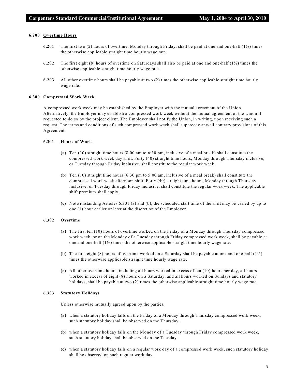#### **6.200 Overtime Hours**

- **6.201** The first two (2) hours of overtime, Monday through Friday, shall be paid at one and one-half  $(1/2)$  times the otherwise applicable straight time hourly wage rate.
- **6.202** The first eight (8) hours of overtime on Saturdays shall also be paid at one and one-half (1½) times the otherwise applicable straight time hourly wage rate.
- **6.203** All other overtime hours shall be payable at two (2) times the otherwise applicable straight time hourly wage rate.

#### **6.300 Compressed Work Week**

A compressed work week may be established by the Employer with the mutual agreement of the Union. Alternatively, the Employer may establish a compressed work week without the mutual agreement of the Union if requested to do so by the project client. The Employer shall notify the Union, in writing, upon receiving such a request. The terms and conditions of such compressed work week shall supercede any/all contrary provisions of this Agreement.

#### **6.301 Hours of Work**

- **(a)** Ten (10) straight time hours (8:00 am to 6:30 pm, inclusive of a meal break) shall constitute the compressed work week day shift. Forty (40) straight time hours, Monday through Thursday inclusive, or Tuesday through Friday inclusive, shall constitute the regular work week.
- **(b)** Ten (10) straight time hours (6:30 pm to 5:00 am, inclusive of a meal break) shall constitute the compressed work week afternoon shift. Forty (40) straight time hours, Monday through Thursday inclusive, or Tuesday through Friday inclusive, shall constitute the regular work week. The applicable shift premium shall apply.
- **(c)** Notwithstanding Articles 6.301 (a) and (b), the scheduled start time of the shift may be varied by up to one (1) hour earlier or later at the discretion of the Employer.

#### **6.302 Overtime**

- **(a)** The first ten (10) hours of overtime worked on the Friday of a Monday through Thursday compressed work week, or on the Monday of a Tuesday through Friday compressed work week, shall be payable at one and one-half  $(1/2)$  times the otherwise applicable straight time hourly wage rate.
- **(b)** The first eight (8) hours of overtime worked on a Saturday shall be payable at one and one-half (1½) times the otherwise applicable straight time hourly wage rate.
- **(c)** All other overtime hours, including all hours worked in excess of ten (10) hours per day, all hours worked in excess of eight (8) hours on a Saturday, and all hours worked on Sundays and statutory holidays, shall be payable at two (2) times the otherwise applicable straight time hourly wage rate.

#### **6.303 Statutory Holidays**

Unless otherwise mutually agreed upon by the parties,

- **(a)** when a statutory holiday falls on the Friday of a Monday through Thursday compressed work week, such statutory holiday shall be observed on the Thursday.
- **(b)** when a statutory holiday falls on the Monday of a Tuesday through Friday compressed work week, such statutory holiday shall be observed on the Tuesday.
- **(c)** when a statutory holiday falls on a regular work day of a compressed work week, such statutory holiday shall be observed on such regular work day.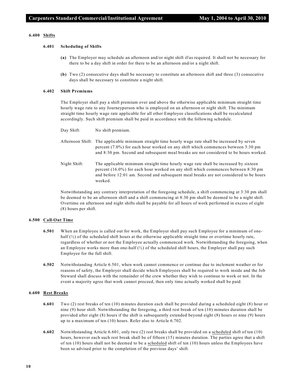#### **6.400 Shifts**

#### **6.401 Scheduling of Shifts**

- **(a)** The Employer may schedule an afternoon and/or night shift if/as required. It shall not be necessary for there to be a day shift in order for there to be an afternoon and/or a night shift.
- **(b)** Two (2) consecutive days shall be necessary to constitute an afternoon shift and three (3) consecutive days shall be necessary to constitute a night shift.

#### **6.402 Shift Premiums**

The Employer shall pay a shift premium over and above the otherwise applicable minimum straight time hourly wage rate to any Journeyperson who is employed on an afternoon or night shift. The minimum straight time hourly wage rate applicable for all other Employee classifications shall be recalculated accordingly. Such shift premium shall be paid in accordance with the following schedule.

- Day Shift: No shift premium.
- Afternoon Shift: The applicable minimum straight time hourly wage rate shall be increased by seven percent (7.0%) for each hour worked on any shift which commences between 3:30 pm and 8:30 pm. Second and subsequent meal breaks are not considered to be hours worked.
- Night Shift: The applicable minimum straight time hourly wage rate shall be increased by sixteen percent (16.0%) for each hour worked on any shift which commences between 8:30 pm and before 12:01 am. Second and subsequent meal breaks are not considered to be hours worked.

Notwithstanding any contrary interpretation of the foregoing schedule, a shift commencing at 3:30 pm shall be deemed to be an afternoon shift and a shift commencing at 8:30 pm shall be deemed to be a night shift. Overtime on afternoon and night shifts shall be payable for all hours of work performed in excess of eight (8) hours per shift.

#### **6.500 Call-Out Time**

- **6.501** When an Employee is called out for work, the Employer shall pay such Employee for a minimum of onehalf  $(\frac{1}{2})$  of the scheduled shift hours at the otherwise applicable straight time or overtime hourly rate, regardless of whether or not the Employee actually commenced work. Notwithstanding the foregoing, when an Employee works more than one-half  $\binom{1}{2}$  of the scheduled shift hours, the Employer shall pay such Employee for the full shift.
- **6.502** Notwithstanding Article 6.501, when work cannot commence or continue due to inclement weather or for reasons of safety, the Employer shall decide which Employees shall be required to work inside and the Job Steward shall discuss with the remainder of the crew whether they wish to continue to work or not. In the event a majority agree that work cannot proceed, then only time actually worked shall be paid.

#### **6.600 Rest Breaks**

- **6.601** Two (2) rest breaks of ten (10) minutes duration each shall be provided during a scheduled eight (8) hour or nine (9) hour shift. Notwithstanding the foregoing, a third rest break of ten (10) minutes duration shall be provided after eight (8) hours if the shift is subsequently extended beyond eight (8) hours or nine (9) hours up to a maximum of ten (10) hours. Refer also to Article 6.702.
- **6.602** Notwithstanding Article 6.601, only two (2) rest breaks shall be provided on a scheduled shift of ten (10) hours, however each such rest break shall be of fifteen (15) minutes duration. The parties agree that a shift of ten (10) hours shall not be deemed to be a scheduled shift of ten (10) hours unless the Employees have been so advised prior to the completion of the previous days' shift.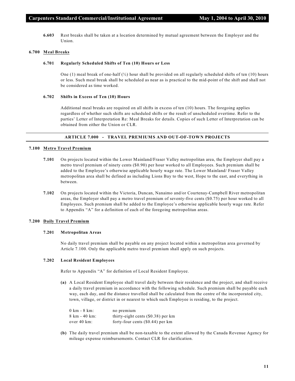**6.603** Rest breaks shall be taken at a location determined by mutual agreement between the Employer and the Union.

#### **6.700 Meal Breaks**

#### **6.701 Regularly Scheduled Shifts of Ten (10) Hours or Less**

One (1) meal break of one-half  $\binom{1}{2}$  hour shall be provided on all regularly scheduled shifts of ten (10) hours or less. Such meal break shall be scheduled as near as is practical to the mid-point of the shift and shall not be considered as time worked.

#### **6.702 Shifts in Excess of Ten (10) Hours**

Additional meal breaks are required on all shifts in excess of ten (10) hours. The foregoing applies regardless of whether such shifts are scheduled shifts or the result of unscheduled overtime. Refer to the parties' Letter of Interpretation Re: Meal Breaks for details. Copies of such Letter of Interpretation can be obtained from either the Union or CLR.

#### **ARTICLE 7.000 - TRAVEL PREMIUMS AND OUT-OF-TOWN PROJECTS**

#### **7.100 Metro Travel Premium**

- **7.101** On projects located within the Lower Mainland/Fraser Valley metropolitan area, the Employer shall pay a metro travel premium of ninety cents (\$0.90) per hour worked to all Employees. Such premium shall be added to the Employee's otherwise applicable hourly wage rate. The Lower Mainland/ Fraser Valley metropolitan area shall be defined as including Lions Bay to the west, Hope to the east, and everything in between.
- **7.102** On projects located within the Victoria, Duncan, Nanaimo and/or Courtenay-Campbell River metropolitan areas, the Employer shall pay a metro travel premium of seventy-five cents (\$0.75) per hour worked to all Employees. Such premium shall be added to the Employee's otherwise applicable hourly wage rate. Refer to Appendix "A" for a definition of each of the foregoing metropolitan areas.

#### **7.200 Daily Travel Premium**

#### **7.201 Metropolitan Areas**

No daily travel premium shall be payable on any project located within a metropolitan area governed by Article 7.100. Only the applicable metro travel premium shall apply on such projects.

#### **7.202 Local Resident Employees**

Refer to Appendix "A" for definition of Local Resident Employee.

**(a)** A Local Resident Employee shall travel daily between their residence and the project, and shall receive a daily travel premium in accordance with the following schedule. Such premium shall be payable each way, each day, and the distance travelled shall be calculated from the centre of the incorporated city, town, village, or district in or nearest to which such Employee is residing, to the project.

| $0 \text{ km}$ - $8 \text{ km}$ : | no premium                           |
|-----------------------------------|--------------------------------------|
| 8 km - 40 km:                     | thirty-eight cents $(\$0.38)$ per km |
| over 40 km:                       | forty-four cents $(\$0.44)$ per km   |

**(b)** The daily travel premium shall be non-taxable to the extent allowed by the Canada Revenue Agency for mileage expense reimbursements. Contact CLR for clarification.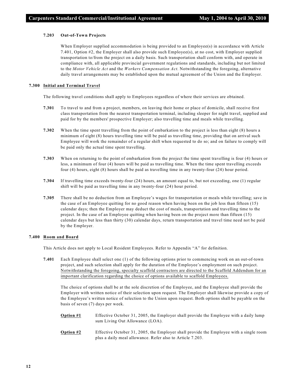#### **7.203 Out-of-Town Projects**

When Employer supplied accommodation is being provided to an Employee(s) in accordance with Article 7.401, Option #2, the Employer shall also provide such Employee(s), at no cost, with Employer supplied transportation to/from the project on a daily basis. Such transportation shall conform with, and operate in compliance with, all applicable provincial government regulations and standards, including but not limited to the *Motor Vehicle Act* and the *Workers Compensation Act*. Notwithstanding the foregoing, alternative daily travel arrangements may be established upon the mutual agreement of the Union and the Employer.

#### **7.300 Initial and Terminal Travel**

The following travel conditions shall apply to Employees regardless of where their services are obtained.

- **7.301** To travel to and from a project, members, on leaving their home or place of domicile, shall receive first class transportation from the nearest transportation terminal, including sleeper for night travel, supplied and paid for by the members' prospective Employer; also travelling time and meals while travelling.
- **7.302** When the time spent travelling from the point of embarkation to the project is less than eight (8) hours a minimum of eight (8) hours travelling time will be paid as travelling time, providing that on arrival such Employee will work the remainder of a regular shift when requested to do so; and on failure to comply will be paid only the actual time spent travelling.
- **7.303** When on returning to the point of embarkation from the project the time spent travelling is four (4) hours or less, a minimum of four (4) hours will be paid as travelling time. When the time spent travelling exceeds four (4) hours, eight (8) hours shall be paid as travelling time in any twenty-four (24) hour period.
- **7.304** If travelling time exceeds twenty-four (24) hours, an amount equal to, but not exceeding, one (1) regular shift will be paid as travelling time in any twenty-four (24) hour period.
- **7.305** There shall be no deduction from an Employee's wages for transportation or meals while travelling; save in the case of an Employee quitting for no good reason when having been on the job less than fifteen (15) calendar days; then the Employer may deduct the cost of meals, transportation and travelling time to the project. In the case of an Employee quitting when having been on the project more than fifteen (15) calendar days but less than thirty (30) calendar days, return transportation and travel time need not be paid by the Employer.

## **7.400 Room and Board**

This Article does not apply to Local Resident Employees. Refer to Appendix "A" for definition.

**7.401** Each Employee shall select one (1) of the following options prior to commencing work on an out-of-town project, and such selection shall apply for the duration of the Employee's employment on such project. Notwithstanding the foregoing, specialty scaffold contractors are directed to the Scaffold Addendum for an important clarification regarding the choice of options available to scaffold Employees.

The choice of options shall be at the sole discretion of the Employee, and the Employee shall provide the Employer with written notice of their selection upon request. The Employer shall likewise provide a copy of the Employee's written notice of selection to the Union upon request. Both options shall be payable on the basis of seven (7) days per week.

- **Option #1** Effective October 31, 2005, the Employer shall provide the Employee with a daily lump sum Living Out Allowance (LOA).
- **Option #2** Effective October 31, 2005, the Employer shall provide the Employee with a single room plus a daily meal allowance. Refer also to Article 7.203.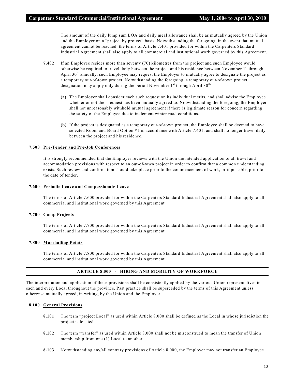The amount of the daily lump sum LOA and daily meal allowance shall be as mutually agreed by the Union and the Employer on a "project by project" basis. Notwithstanding the foregoing, in the event that mutual agreement cannot be reached, the terms of Article 7.401 provided for within the Carpenters Standard Industrial Agreement shall also apply to all commercial and institutional work governed by this Agreement.

- **7.402** If an Employee resides more than seventy (70) kilometres from the project and such Employee would otherwise be required to travel daily between the project and his residence between November 1st through April  $30<sup>th</sup>$  annually, such Employee may request the Employer to mutually agree to designate the project as a temporary out-of-town project. Notwithstanding the foregoing, a temporary out-of-town project designation may apply only during the period November  $1^{st}$  through April 30<sup>th</sup>.
	- **(a)** The Employer shall consider each such request on its individual merits, and shall advise the Employee whether or not their request has been mutually agreed to. Notwithstanding the foregoing, the Employer shall not unreasonably withhold mutual agreement if there is legitimate reason for concern regarding the safety of the Employee due to inclement winter road conditions.
	- **(b)** If the project is designated as a temporary out-of-town project, the Employee shall be deemed to have selected Room and Board Option #1 in accordance with Article 7.401, and shall no longer travel daily between the project and his residence.

#### **7.500 Pre-Tender and Pre-Job Conferences**

It is strongly recommended that the Employer reviews with the Union the intended application of all travel and accommodation provisions with respect to an out-of-town project in order to confirm that a common understanding exists. Such review and confirmation should take place prior to the commencement of work, or if possible, prior to the date of tender.

#### **7.600 Periodic Leave and Compassionate Leave**

The terms of Article 7.600 provided for within the Carpenters Standard Industrial Agreement shall also apply to all commercial and institutional work governed by this Agreement.

## **7.700 Camp Projects**

The terms of Article 7.700 provided for within the Carpenters Standard Industrial Agreement shall also apply to all commercial and institutional work governed by this Agreement.

## **7.800 Marshalling Points**

The terms of Article 7.800 provided for within the Carpenters Standard Industrial Agreement shall also apply to all commercial and institutional work governed by this Agreement.

## **ARTICLE 8.000 - HIRING AND MOBILITY OF WORKFORCE**

The interpretation and application of these provisions shall be consistently applied by the various Union representatives in each and every Local throughout the province. Past practice shall be superceded by the terms of this Agreement unless otherwise mutually agreed, in writing, by the Union and the Employer.

#### **8.100 General Provisions**

- **8.101** The term "project Local" as used within Article 8.000 shall be defined as the Local in whose jurisdiction the project is located.
- **8.102** The term "transfer" as used within Article 8.000 shall not be misconstrued to mean the transfer of Union membership from one (1) Local to another.
- **8.103** Notwithstanding any/all contrary provisions of Article 8.000, the Employer may not transfer an Employee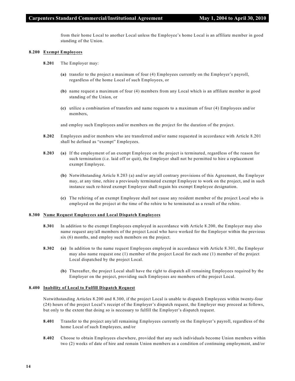from their home Local to another Local unless the Employee's home Local is an affiliate member in good standing of the Union.

#### **8.200 Exempt Employees**

- **8.201** The Employer may:
	- **(a)** transfer to the project a maximum of four (4) Employees currently on the Employer's payroll, regardless of the home Local of such Employees, or
	- **(b)** name request a maximum of four (4) members from any Local which is an affiliate member in good standing of the Union, or
	- **(c)** utilize a combination of transfers and name requests to a maximum of four (4) Employees and/or members,

and employ such Employees and/or members on the project for the duration of the project.

- **8.202** Employees and/or members who are transferred and/or name requested in accordance with Article 8.201 shall be defined as "exempt" Employees.
- **8.203 (a)** If the employment of an exempt Employee on the project is terminated, regardless of the reason for such termination (i.e. laid off or quit), the Employer shall not be permitted to hire a replacement exempt Employee.
	- **(b)** Notwithstanding Article 8.203 (a) and/or any/all contrary provisions of this Agreement, the Employer may, at any time, rehire a previously terminated exempt Employee to work on the project, and in such instance such re-hired exempt Employee shall regain his exempt Employee designation.
	- **(c)** The rehiring of an exempt Employee shall not cause any resident member of the project Local who is employed on the project at the time of the rehire to be terminated as a result of the rehire.

#### **8.300 Name Request Employees and Local Dispatch Employees**

- **8.301** In addition to the exempt Employees employed in accordance with Article 8.200, the Employer may also name request any/all members of the project Local who have worked for the Employer within the previous six (6) months, and employ such members on the project.
- **8.302 (a)** In addition to the name request Employees employed in accordance with Article 8.301, the Employer may also name request one (1) member of the project Local for each one (1) member of the project Local dispatched by the project Local.
	- **(b)** Thereafter, the project Local shall have the right to dispatch all remaining Employees required by the Employer on the project, providing such Employees are members of the project Local.

#### **8.400 Inability of Local to Fulfill Dispatch Request**

Notwithstanding Articles 8.200 and 8.300, if the project Local is unable to dispatch Employees within twenty-four (24) hours of the project Local's receipt of the Employer's dispatch request, the Employer may proceed as follows, but only to the extent that doing so is necessary to fulfill the Employer's dispatch request.

- **8.401** Transfer to the project any/all remaining Employees currently on the Employer's payroll, regardless of the home Local of such Employees, and/or
- **8.402** Choose to obtain Employees elsewhere, provided that any such individuals become Union members within two (2) weeks of date of hire and remain Union members as a condition of continuing employment, and/or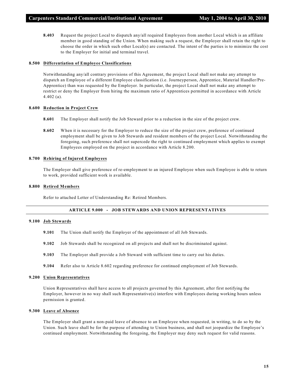**8.403** Request the project Local to dispatch any/all required Employees from another Local which is an affiliate member in good standing of the Union. When making such a request, the Employer shall retain the right to choose the order in which such other Local(s) are contacted. The intent of the parties is to minimize the cost to the Employer for initial and terminal travel.

#### **8.500 Differentiation of Employee Classifications**

Notwithstanding any/all contrary provisions of this Agreement, the project Local shall not make any attempt to dispatch an Employee of a different Employee classification (i.e. Journeyperson, Apprentice, Material Handler/Pre-Apprentice) than was requested by the Employer. In particular, the project Local shall not make any attempt to restrict or deny the Employer from hiring the maximum ratio of Apprentices permitted in accordance with Article 4.402 (a).

# **8.600 Reduction in Project Crew**

- **8.601** The Employer shall notify the Job Steward prior to a reduction in the size of the project crew.
- **8.602** When it is necessary for the Employer to reduce the size of the project crew, preference of continued employment shall be given to Job Stewards and resident members of the project Local. Notwithstanding the foregoing, such preference shall not supercede the right to continued employment which applies to exempt Employees employed on the project in accordance with Article 8.200.

#### **8.700 Rehiring of Injured Employees**

The Employer shall give preference of re-employment to an injured Employee when such Employee is able to return to work, provided sufficient work is available.

#### **8.800 Retired Members**

Refer to attached Letter of Understanding Re: Retired Members.

# **ARTICLE 9.000 - JOB STEWARDS AND UNION REPRESENTATIVES**

#### **9.100 Job Stewards**

- **9.101** The Union shall notify the Employer of the appointment of all Job Stewards.
- **9.102** Job Stewards shall be recognized on all projects and shall not be discriminated against.
- **9.103** The Employer shall provide a Job Steward with sufficient time to carry out his duties.
- **9.104** Refer also to Article 8.602 regarding preference for continued employment of Job Stewards.

#### **9.200 Union Representatives**

Union Representatives shall have access to all projects governed by this Agreement, after first notifying the Employer, however in no way shall such Representative(s) interfere with Employees during working hours unless permission is granted.

#### **9.300 Leave of Absence**

The Employer shall grant a non-paid leave of absence to an Employee when requested, in writing, to do so by the Union. Such leave shall be for the purpose of attending to Union business, and shall not jeopardize the Employee's continued employment. Notwithstanding the foregoing, the Employer may deny such request for valid reasons.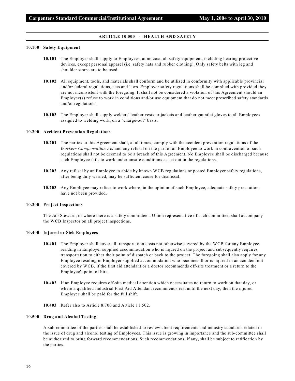#### **ARTICLE 10.000 - HEALTH AND SAFETY**

#### **10.100 Safety Equipment**

- **10.101** The Employer shall supply to Employees, at no cost, all safety equipment, including hearing protective devices, except personal apparel (i.e. safety hats and rubber clothing). Only safety belts with leg and shoulder straps are to be used.
- **10.102** All equipment, tools, and materials shall conform and be utilized in conformity with applicable provincial and/or federal regulations, acts and laws. Employer safety regulations shall be complied with provided they are not inconsistent with the foregoing. It shall not be considered a violation of this Agreement should an Employee(s) refuse to work in conditions and/or use equipment that do not meet prescribed safety standards and/or regulations.
- **10.103** The Employer shall supply welders' leather vests or jackets and leather gauntlet gloves to all Employees assigned to welding work, on a "charge-out" basis.

#### **10.200 Accident Prevention Regulations**

- **10.201** The parties to this Agreement shall, at all times, comply with the accident prevention regulations of the *Workers Compensation Act* and any refusal on the part of an Employee to work in contravention of such regulations shall not be deemed to be a breach of this Agreement. No Employee shall be discharged because such Employee fails to work under unsafe conditions as set out in the regulations.
- **10.202** Any refusal by an Employee to abide by known WCB regulations or posted Employer safety regulations, after being duly warned, may be sufficient cause for dismissal.
- **10.203** Any Employee may refuse to work where, in the opinion of such Employee, adequate safety precautions have not been provided.

#### **10.300 Project Inspections**

The Job Steward, or where there is a safety committee a Union representative of such committee, shall accompany the WCB Inspector on all project inspections.

#### **10.400 Injured or Sick Employees**

- **10.401** The Employer shall cover all transportation costs not otherwise covered by the WCB for any Employee residing in Employer supplied accommodation who is injured on the project and subsequently requires transportation to either their point of dispatch or back to the project. The foregoing shall also apply for any Employee residing in Employer supplied accommodation who becomes ill or is injured in an accident not covered by WCB, if the first aid attendant or a doctor recommends off-site treatment or a return to the Employee's point of hire.
- **10.402** If an Employee requires off-site medical attention which necessitates no return to work on that day, or where a qualified Industrial First Aid Attendant recommends rest until the next day, then the injured Employee shall be paid for the full shift.
- **10.403** Refer also to Article 8.700 and Article 11.502.

#### **10.500 Drug and Alcohol Testing**

A sub-committee of the parties shall be established to review client requirements and industry standards related to the issue of drug and alcohol testing of Employees. This issue is growing in importance and the sub-committee shall be authorized to bring forward recommendations. Such recommendations, if any, shall be subject to ratification by the parties.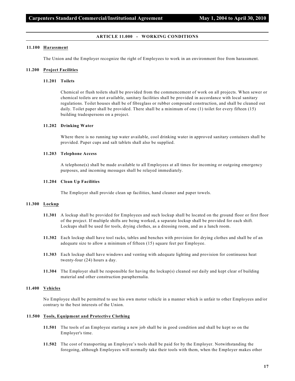#### **ARTICLE 11.000 - WORKING CONDITIONS**

#### **11.100 Harassment**

The Union and the Employer recognize the right of Employees to work in an environment free from harassment.

#### **11.200 Project Facilities**

#### **11.201 Toilets**

Chemical or flush toilets shall be provided from the commencement of work on all projects. When sewer or chemical toilets are not available, sanitary facilities shall be provided in accordance with local sanitary regulations. Toilet houses shall be of fibreglass or rubber compound construction, and shall be cleaned out daily. Toilet paper shall be provided. There shall be a minimum of one (1) toilet for every fifteen (15) building tradespersons on a project.

#### **11.202 Drinking Water**

Where there is no running tap water available, cool drinking water in approved sanitary containers shall be provided. Paper cups and salt tablets shall also be supplied.

#### **11.203 Telephone Access**

A telephone(s) shall be made available to all Employees at all times for incoming or outgoing emergency purposes, and incoming messages shall be relayed immediately.

#### **11.204 Clean Up Facilities**

The Employer shall provide clean up facilities, hand cleaner and paper towels.

#### **11.300 Lockup**

- **11.301** A lockup shall be provided for Employees and such lockup shall be located on the ground floor or first floor of the project. If multiple shifts are being worked, a separate lockup shall be provided for each shift. Lockups shall be used for tools, drying clothes, as a dressing room, and as a lunch room.
- **11.302** Each lockup shall have tool racks, tables and benches with provision for drying clothes and shall be of an adequate size to allow a minimum of fifteen (15) square feet per Employee.
- **11.303** Each lockup shall have windows and venting with adequate lighting and provision for continuous heat twenty-four (24) hours a day.
- **11.304** The Employer shall be responsible for having the lockup(s) cleaned out daily and kept clear of building material and other construction paraphernalia.

#### **11.400 Vehicles**

No Employee shall be permitted to use his own motor vehicle in a manner which is unfair to other Employees and/or contrary to the best interests of the Union.

#### **11.500 Tools, Equipment and Protective Clothing**

- **11.501** The tools of an Employee starting a new job shall be in good condition and shall be kept so on the Employer's time.
- **11.502** The cost of transporting an Employee's tools shall be paid for by the Employer. Notwithstanding the foregoing, although Employees will normally take their tools with them, when the Employer makes other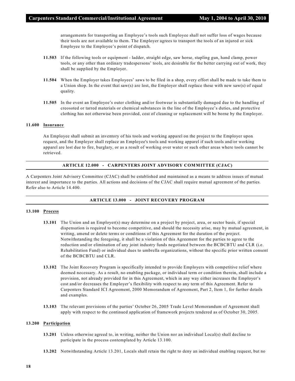arrangements for transporting an Employee's tools such Employee shall not suffer loss of wages because their tools are not available to them. The Employer agrees to transport the tools of an injured or sick Employee to the Employee's point of dispatch.

- **11.503** If the following tools or equipment ladder, straight edge, saw horse, stapling gun, hand clamp, power tools, or any other than ordinary tradespersons' tools, are desirable for the better carrying out of work, they shall be supplied by the Employer.
- **11.504** When the Employer takes Employees' saws to be filed in a shop, every effort shall be made to take them to a Union shop. In the event that saw(s) are lost, the Employer shall replace these with new saw(s) of equal quality.
- **11.505** In the event an Employee's outer clothing and/or footwear is substantially damaged due to the handling of creosoted or tarred materials or chemical substances in the line of the Employee's duties, and protective clothing has not otherwise been provided, cost of cleaning or replacement will be borne by the Employer.

#### **11.600 Insurance**

An Employee shall submit an inventory of his tools and working apparel on the project to the Employer upon request, and the Employer shall replace an Employee's tools and working apparel if such tools and/or working apparel are lost due to fire, burglary, or as a result of working over water or such other areas where tools cannot be retrieved.

#### **ARTICLE 12.000 - CARPENTERS JOINT ADVISORY COMMITTEE (CJAC)**

A Carpenters Joint Advisory Committee (CJAC) shall be established and maintained as a means to address issues of mutual interest and importance to the parties. All actions and decisions of the CJAC shall require mutual agreement of the parties. Refer also to Article 14.400.

## **ARTICLE 13.000 - JOINT RECOVERY PROGRAM**

# **13.100 Process**

- **13.101** The Union and an Employer(s) may determine on a project by project, area, or sector basis, if special dispensation is required to become competitive, and should the necessity arise, may by mutual agreement, in writing, amend or delete terms or conditions of this Agreement for the duration of the project. Notwithstanding the foregoing, it shall be a violation of this Agreement for the parties to agree to the reduction and/or elimination of any joint industry funds negotiated between the BCBCBTU and CLR (i.e. Rehabilitation Fund) or individual dues to umbrella organizations, without the specific prior written consent of the BCBCBTU and CLR.
- **13.102** The Joint Recovery Program is specifically intended to provide Employers with competitive relief where deemed necessary. As a result, no enabling package, or individual term or condition therein, shall include a provision, not already provided for in this Agreement, which in any way either increases the Employer's cost and/or decreases the Employer's flexibility with respect to any term of this Agreement. Refer to Carpenters Standard ICI Agreement, 2000 Memorandum of Agreement, Part 2, Item 1, for further details and examples.
- **13.103** The relevant provisions of the parties' October 26, 2005 Trade Level Memorandum of Agreement shall apply with respect to the continued application of framework projects tendered as of October 30, 2005.

#### **13.200 Participation**

- **13.201** Unless otherwise agreed to, in writing, neither the Union nor an individual Local(s) shall decline to participate in the process contemplated by Article 13.100.
- **13.202** Notwithstanding Article 13.201, Locals shall retain the right to deny an individual enabling request, but no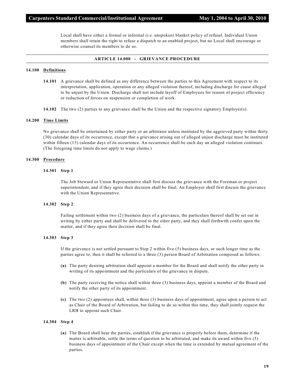Local shall have either a formal or informal (i.e. unspoken) blanket policy of refusal. Individual Union members shall retain the right to refuse a dispatch to an enabled project, but no Local shall encourage or otherwise counsel its members to do so.

#### **ARTICLE 14.000 - GRIEVANCE PROCEDURE**

#### **14.100 Definitions**

- **14.101** A grievance shall be defined as any difference between the parties to this Agreement with respect to its interpretation, application, operation or any alleged violation thereof, including discharge for cause alleged to be unjust by the Union. Discharge shall not include layoff of Employees for reason of project efficiency or reduction of forces on suspension or completion of work.
- **14.102** The two (2) parties to any grievance shall be the Union and the respective signatory Employer(s).

#### **14.200 Time Limits**

No grievance shall be entertained by either party or an arbitrator unless instituted by the aggrieved party within thirty (30) calendar days of its occurrence, except that a grievance arising out of alleged unjust discharge must be instituted within fifteen (15) calendar days of its occurrence. An occurrence shall be each day an alleged violation continues. (The foregoing time limits do not apply to wage claims.)

#### **14.300 Procedure**

#### **14.301 Step 1**

The Job Steward or Union Representative shall first discuss the grievance with the Foreman or project superintendent, and if they agree their decision shall be final. An Employer shall first discuss the grievance with the Union Representative.

#### **14.302 Step 2**

Failing settlement within two (2) business days of a grievance, the particulars thereof shall be set out in writing by either party and shall be delivered to the other party, and they shall forthwith confer upon the matter, and if they agree their decision shall be final.

#### **14.303 Step 3**

If the grievance is not settled pursuant to Step 2 within five (5) business days, or such longer time as the parties agree to, then it shall be referred to a three (3) person Board of Arbitration composed as follows:

- **(a)** The party desiring arbitration shall appoint a member for the Board and shall notify the other party in writing of its appointment and the particulars of the grievance in dispute.
- **(b)** The party receiving the notice shall within three (3) business days, appoint a member of the Board and notify the other party of its appointment.
- **(c)** The two (2) appointees shall, within three (3) business days of appointment, agree upon a person to act as Chair of the Board of Arbitration, but failing to do so within this time, they shall jointly request the LRB to appoint such Chair.

#### **14.304 Step 4**

**(a)** The Board shall hear the parties, establish if the grievance is properly before them, determine if the matter is arbitrable, settle the terms of question to be arbitrated, and make its award within five (5) business days of appointment of the Chair except when the time is extended by mutual agreement of the parties.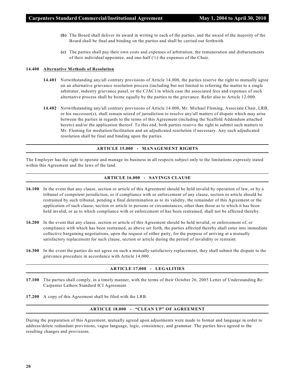- **(b)** The Board shall deliver its award in writing to each of the parties, and the award of the majority of the Board shall be final and binding on the parties and shall be carried out forthwith.
- **(c)** The parties shall pay their own costs and expenses of arbitration, the remuneration and disbursements of their individual appointee, and one-half  $(\frac{1}{2})$  the expenses of the Chair.

## **14.400 Alternative Methods of Resolution**

- **14.401** Notwithstanding any/all contrary provisions of Article 14.000, the parties reserve the right to mutually agree on an alternative grievance resolution process (including but not limited to referring the matter to a single arbitrator, industry grievance panel, or the CJAC) in which case the associated fees and expenses of such alternative process shall be borne equally by the parties to the grievance. Refer also to Article 12.000.
- **14.402** Notwithstanding any/all contrary provisions of Article 14.000, Mr. Michael Fleming, Associate Chair, LRB, or his successor(s), shall remain seized of jurisdiction to resolve any/all matters of dispute which may arise between the parties in regards to the terms of this Agreement (including the Scaffold Addendum attached hereto) and/or the application thereof. To this end, both parties reserve the right to submit such matters to Mr. Fleming for mediation/facilitation and an adjudicated resolution if necessary. Any such adjudicated resolution shall be final and binding upon the parties.

#### **ARTICLE 15.000 - MANAGEMENT RIGHTS**

The Employer has the right to operate and manage its business in all respects subject only to the limitations expressly stated within this Agreement and the laws of the land.

#### **ARTICLE 16.000 - SAVINGS CLAUSE**

- **16.100** In the event that any clause, section or article of this Agreement should be held invalid by operation of law, or by a tribunal of competent jurisdiction, or if compliance with or enforcement of any clause, section or article should be restrained by such tribunal, pending a final determination as to its validity, the remainder of this Agreement or the application of such clause, section or article to persons or circumstances, other than those as to which it has been held invalid, or as to which compliance with or enforcement of has been restrained, shall not be affected thereby.
- **16.200** In the event that any clause, section or article of this Agreement should be held invalid, or enforcement of, or compliance with which has been restrained, as above set forth, the parties affected thereby shall enter into immediate collective bargaining negotiations, upon the request of either party, for the purpose of arriving at a mutually satisfactory replacement for such clause, section or article during the period of invalidity or restraint.
- **16.300** In the event the parties do not agree on such a mutually satisfactory replacement, they shall submit the dispute to the grievance procedure in accordance with Article 14.000.

#### **ARTICLE 17.000 - LEGALITIES**

- **17.100** The parties shall comply, in a timely manner, with the terms of their October 26, 2005 Letter of Understanding Re: Carpenter Lathers Standard ICI Agreement.
- **17.200** A copy of this Agreement shall be filed with the LRB.

#### **ARTICLE 18.000 - "CLEAN UP" OF AGREEMENT**

During the preparation of this Agreement, mutually agreed upon adjustments were made to format and language in order to address/delete redundant provisions, vague language, logic, consistency, and grammar. The parties have agreed to the resulting changes and provisions.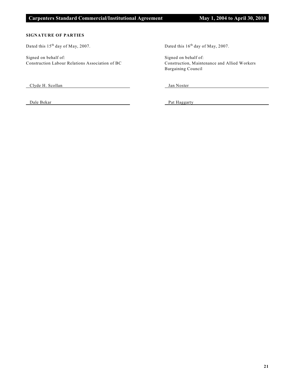# **SIGNATURE OF PARTIES**

Dated this 15<sup>th</sup> day of May, 2007. Dated this 16<sup>th</sup> day of May, 2007.

Signed on behalf of: Signed on behalf of: Construction Labour Relations Association of BC Construction, Maintenance and Allied Workers

Clyde H. Scollan Jan Noster

Bargaining Council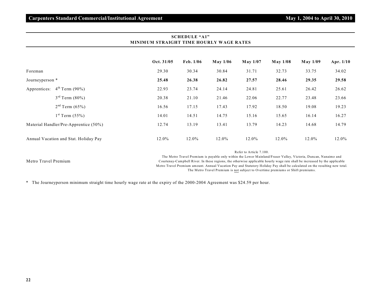|                                       | Oct. 31/05                                                                                                                                             | Feb. 1/06 | $M$ ay 1/06 | May 1/07 | May 1/08 | <b>May 1/09</b> | Apr. 1/10 |  |  |
|---------------------------------------|--------------------------------------------------------------------------------------------------------------------------------------------------------|-----------|-------------|----------|----------|-----------------|-----------|--|--|
| Foreman                               | 29.30                                                                                                                                                  | 30.34     | 30.84       | 31.71    | 32.73    | 33.75           | 34.02     |  |  |
| Journeyperson *                       | 25.48                                                                                                                                                  | 26.38     | 26.82       | 27.57    | 28.46    | 29.35           | 29.58     |  |  |
| $4^{th}$ Term (90%)<br>Apprentices:   | 22.93                                                                                                                                                  | 23.74     | 24.14       | 24.81    | 25.61    | 26.42           | 26.62     |  |  |
| $3^{rd}$ Term $(80\%)$                | 20.38                                                                                                                                                  | 21.10     | 21.46       | 22.06    | 22.77    | 23.48           | 23.66     |  |  |
| $2nd$ Term (65%)                      | 16.56                                                                                                                                                  | 17.15     | 17.43       | 17.92    | 18.50    | 19.08           | 19.23     |  |  |
| $1^{st}$ Term (55%)                   | 14.01                                                                                                                                                  | 14.51     | 14.75       | 15.16    | 15.65    | 16.14           | 16.27     |  |  |
| Material Handler/Pre-Apprentice (50%) | 12.74                                                                                                                                                  | 13.19     | 13.41       | 13.79    | 14.23    | 14.68           | 14.79     |  |  |
| Annual Vacation and Stat. Holiday Pay | 12.0%                                                                                                                                                  | 12.0%     | 12.0%       | 12.0%    | 12.0%    | 12.0%           | $12.0\%$  |  |  |
|                                       | Refer to Article 7.100.<br>The Measur Theori December is a could contributed in the France Mainlead (Theory Maller, Micado December 2016) and the cond |           |             |          |          |                 |           |  |  |

# **SCHEDULE "A1" MINIMUM STRAIGHT TIME HOURLY WAGE RATES**

Metro Travel Premium

The Metro Travel Premium is payable only within the Lower Mainland/Fraser Valley, Victoria, Duncan, Nanaimo and Courtenay-Campbell River. In these regions, the otherwise applicable hourly wage rate shall be increased by the applicable Metro Travel Premium amount. Annual Vacation Pay and Statutory Holiday Pay shall be calculated on the resulting new total. The Metro Travel Premium is not subject to Overtime premiums or Shift premiums.

\* The Journeyperson minimum straight time hourly wage rate at the expiry of the 2000-2004 Agreement was \$24.59 per hour.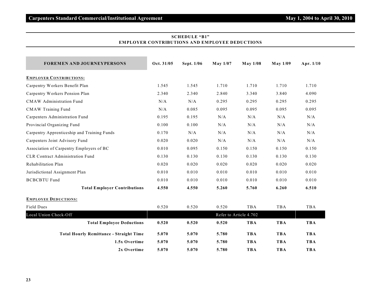| <b>FOREMEN AND JOURNEYPERSONS</b>              | Oct. 31/05 | Sept. 1/06 | May 1/07 | <b>May 1/08</b>        | <b>May 1/09</b> | Apr. 1/10  |
|------------------------------------------------|------------|------------|----------|------------------------|-----------------|------------|
| <b>EMPLOYER CONTRIBUTIONS:</b>                 |            |            |          |                        |                 |            |
| Carpentry Workers Benefit Plan                 | 1.545      | 1.545      | 1.710    | 1.710                  | 1.710           | 1.710      |
| Carpentry Workers Pension Plan                 | 2.340      | 2.340      | 2.840    | 3.340                  | 3.840           | 4.090      |
| <b>CMAW</b> Administration Fund                | N/A        | N/A        | 0.295    | 0.295                  | 0.295           | 0.295      |
| <b>CMAW Training Fund</b>                      | N/A        | 0.085      | 0.095    | 0.095                  | 0.095           | 0.095      |
| Carpenters Administration Fund                 | 0.195      | 0.195      | N/A      | N/A                    | N/A             | N/A        |
| Provincial Organizing Fund                     | 0.100      | 0.100      | N/A      | N/A                    | N/A             | N/A        |
| Carpentry Apprenticeship and Training Funds    | 0.170      | N/A        | N/A      | N/A                    | N/A             | N/A        |
| Carpenters Joint Advisory Fund                 | 0.020      | 0.020      | N/A      | N/A                    | N/A             | N/A        |
| Association of Carpentry Employers of BC       | 0.010      | 0.095      | 0.150    | 0.150                  | 0.150           | 0.150      |
| <b>CLR Contract Administration Fund</b>        | 0.130      | 0.130      | 0.130    | 0.130                  | 0.130           | 0.130      |
| Rehabilitation Plan                            | 0.020      | 0.020      | 0.020    | 0.020                  | 0.020           | 0.020      |
| Jurisdictional Assignment Plan                 | 0.010      | 0.010      | 0.010    | 0.010                  | 0.010           | 0.010      |
| <b>BCBCBTU Fund</b>                            | 0.010      | 0.010      | 0.010    | 0.010                  | 0.010           | 0.010      |
| <b>Total Employer Contributions</b>            | 4.550      | 4.550      | 5.260    | 5.760                  | 6.260           | 6.510      |
| <b>EMPLOYEE DEDUCTIONS:</b>                    |            |            |          |                        |                 |            |
| Field Dues                                     | 0.520      | 0.520      | 0.520    | <b>TBA</b>             | TBA             | TBA        |
| Local Union Check-Off                          |            |            |          | Refer to Article 4.702 |                 |            |
| <b>Total Employee Deductions</b>               | 0.520      | 0.520      | 0.520    | <b>TBA</b>             | <b>TBA</b>      | <b>TBA</b> |
| <b>Total Hourly Remittance - Straight Time</b> | 5.070      | 5.070      | 5.780    | <b>TBA</b>             | <b>TBA</b>      | <b>TBA</b> |
| 1.5x Overtime                                  | 5.070      | 5.070      | 5.780    | <b>TBA</b>             | <b>TBA</b>      | <b>TBA</b> |
| 2x Overtime                                    | 5.070      | 5.070      | 5.780    | <b>TBA</b>             | <b>TBA</b>      | <b>TBA</b> |

# **SCHEDULE "B1" EMPLOYER CONTRIBUTIONS AND EMPLOYEE DEDUCTIONS**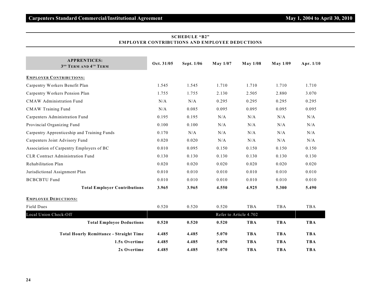| <b>APPRENTICES:</b><br>3 <sup>RD</sup> TERM AND 4TH TERM | Oct. 31/05 | Sept. 1/06 | $M$ ay 1/07 | <b>May 1/08</b>        | $M$ ay $1/09$ | Apr. 1/10  |
|----------------------------------------------------------|------------|------------|-------------|------------------------|---------------|------------|
| <b>EMPLOYER CONTRIBUTIONS:</b>                           |            |            |             |                        |               |            |
| Carpentry Workers Benefit Plan                           | 1.545      | 1.545      | 1.710       | 1.710                  | 1.710         | 1.710      |
| Carpentry Workers Pension Plan                           | 1.755      | 1.755      | 2.130       | 2.505                  | 2.880         | 3.070      |
| <b>CMAW</b> Administration Fund                          | N/A        | N/A        | 0.295       | 0.295                  | 0.295         | 0.295      |
| <b>CMAW Training Fund</b>                                | N/A        | 0.085      | 0.095       | 0.095                  | 0.095         | 0.095      |
| Carpenters Administration Fund                           | 0.195      | 0.195      | N/A         | N/A                    | N/A           | N/A        |
| Provincial Organizing Fund                               | 0.100      | 0.100      | N/A         | N/A                    | N/A           | N/A        |
| Carpentry Apprenticeship and Training Funds              | 0.170      | N/A        | N/A         | N/A                    | N/A           | N/A        |
| Carpenters Joint Advisory Fund                           | 0.020      | 0.020      | N/A         | N/A                    | N/A           | N/A        |
| Association of Carpentry Employers of BC                 | 0.010      | 0.095      | 0.150       | 0.150                  | 0.150         | 0.150      |
| <b>CLR Contract Administration Fund</b>                  | 0.130      | 0.130      | 0.130       | 0.130                  | 0.130         | 0.130      |
| Rehabilitation Plan                                      | 0.020      | 0.020      | 0.020       | 0.020                  | 0.020         | 0.020      |
| Jurisdictional Assignment Plan                           | 0.010      | 0.010      | 0.010       | 0.010                  | 0.010         | 0.010      |
| <b>BCBCBTU Fund</b>                                      | 0.010      | 0.010      | 0.010       | 0.010                  | 0.010         | 0.010      |
| <b>Total Employer Contributions</b>                      | 3.965      | 3.965      | 4.550       | 4.925                  | 5.300         | 5.490      |
| <b>EMPLOYEE DEDUCTIONS:</b>                              |            |            |             |                        |               |            |
| <b>Field Dues</b>                                        | 0.520      | 0.520      | 0.520       | <b>TBA</b>             | TBA           | TBA        |
| Local Union Check-Off                                    |            |            |             | Refer to Article 4.702 |               |            |
| <b>Total Employee Deductions</b>                         | 0.520      | 0.520      | 0.520       | <b>TBA</b>             | <b>TBA</b>    | <b>TBA</b> |
| <b>Total Hourly Remittance - Straight Time</b>           | 4.485      | 4.485      | 5.070       | <b>TBA</b>             | <b>TBA</b>    | <b>TBA</b> |
| 1.5x Overtime                                            | 4.485      | 4.485      | 5.070       | <b>TBA</b>             | <b>TBA</b>    | <b>TBA</b> |
| 2x Overtime                                              | 4.485      | 4.485      | 5.070       | <b>TBA</b>             | <b>TBA</b>    | <b>TBA</b> |

# **SCHEDULE "B2" EMPLOYER CONTRIBUTIONS AND EMPLOYEE DEDUCTIONS**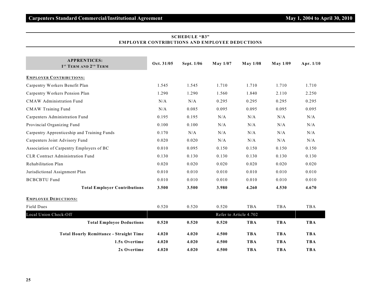| <b>APPRENTICES:</b><br>1 <sup>ST</sup> TERM AND 2 <sup>ND</sup> TERM | Oct. 31/05 | Sept. 1/06 | May 1/07 | <b>May 1/08</b>        | $M$ ay $1/09$ | Apr. $1/10$ |
|----------------------------------------------------------------------|------------|------------|----------|------------------------|---------------|-------------|
| <b>EMPLOYER CONTRIBUTIONS:</b>                                       |            |            |          |                        |               |             |
| Carpentry Workers Benefit Plan                                       | 1.545      | 1.545      | 1.710    | 1.710                  | 1.710         | 1.710       |
| Carpentry Workers Pension Plan                                       | 1.290      | 1.290      | 1.560    | 1.840                  | 2.110         | 2.250       |
| <b>CMAW</b> Administration Fund                                      | N/A        | N/A        | 0.295    | 0.295                  | 0.295         | 0.295       |
| <b>CMAW Training Fund</b>                                            | N/A        | 0.085      | 0.095    | 0.095                  | 0.095         | 0.095       |
| Carpenters Administration Fund                                       | 0.195      | 0.195      | N/A      | N/A                    | N/A           | N/A         |
| Provincial Organizing Fund                                           | 0.100      | 0.100      | N/A      | N/A                    | N/A           | N/A         |
| Carpentry Apprenticeship and Training Funds                          | 0.170      | N/A        | N/A      | N/A                    | N/A           | N/A         |
| Carpenters Joint Advisory Fund                                       | 0.020      | 0.020      | N/A      | N/A                    | N/A           | N/A         |
| Association of Carpentry Employers of BC                             | 0.010      | 0.095      | 0.150    | 0.150                  | 0.150         | 0.150       |
| <b>CLR Contract Administration Fund</b>                              | 0.130      | 0.130      | 0.130    | 0.130                  | 0.130         | 0.130       |
| Rehabilitation Plan                                                  | 0.020      | 0.020      | 0.020    | 0.020                  | 0.020         | 0.020       |
| Jurisdictional Assignment Plan                                       | 0.010      | 0.010      | 0.010    | 0.010                  | 0.010         | 0.010       |
| <b>BCBCBTU Fund</b>                                                  | 0.010      | 0.010      | 0.010    | 0.010                  | 0.010         | 0.010       |
| <b>Total Employer Contributions</b>                                  | 3.500      | 3.500      | 3.980    | 4.260                  | 4.530         | 4.670       |
| <b>EMPLOYEE DEDUCTIONS:</b>                                          |            |            |          |                        |               |             |
| Field Dues                                                           | 0.520      | 0.520      | 0.520    | <b>TBA</b>             | TBA           | TBA         |
| Local Union Check-Off                                                |            |            |          | Refer to Article 4.702 |               |             |
| <b>Total Employee Deductions</b>                                     | 0.520      | 0.520      | 0.520    | <b>TBA</b>             | <b>TBA</b>    | <b>TBA</b>  |
| <b>Total Hourly Remittance - Straight Time</b>                       | 4.020      | 4.020      | 4.500    | <b>TBA</b>             | <b>TBA</b>    | <b>TBA</b>  |
| 1.5x Overtime                                                        | 4.020      | 4.020      | 4.500    | <b>TBA</b>             | <b>TBA</b>    | <b>TBA</b>  |
| 2x Overtime                                                          | 4.020      | 4.020      | 4.500    | <b>TBA</b>             | <b>TBA</b>    | <b>TBA</b>  |

# **SCHEDULE "B3" EMPLOYER CONTRIBUTIONS AND EMPLOYEE DEDUCTIONS**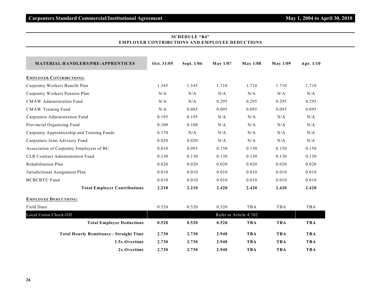| <b>MATERIAL HANDLERS/PRE-APPRENTICES</b>       | Oct. 31/05 | Sept. 1/06 | $M$ ay 1/07 | <b>May 1/08</b>        | <b>May 1/09</b> | Apr. 1/10  |
|------------------------------------------------|------------|------------|-------------|------------------------|-----------------|------------|
| <b>EMPLOYER CONTRIBUTIONS:</b>                 |            |            |             |                        |                 |            |
| Carpentry Workers Benefit Plan                 | 1.545      | 1.545      | 1.710       | 1.710                  | 1.710           | 1.710      |
| Carpentry Workers Pension Plan                 | N/A        | N/A        | N/A         | N/A                    | N/A             | N/A        |
| <b>CMAW</b> Administration Fund                | N/A        | N/A        | 0.295       | 0.295                  | 0.295           | 0.295      |
| <b>CMAW Training Fund</b>                      | N/A        | 0.085      | 0.095       | 0.095                  | 0.095           | 0.095      |
| Carpenters Administration Fund                 | 0.195      | 0.195      | N/A         | N/A                    | N/A             | N/A        |
| Provincial Organizing Fund                     | 0.100      | 0.100      | N/A         | N/A                    | N/A             | N/A        |
| Carpentry Apprenticeship and Training Funds    | 0.170      | N/A        | N/A         | N/A                    | N/A             | N/A        |
| Carpenters Joint Advisory Fund                 | 0.020      | 0.020      | N/A         | N/A                    | N/A             | N/A        |
| Association of Carpentry Employers of BC       | 0.010      | 0.095      | 0.150       | 0.150                  | 0.150           | 0.150      |
| <b>CLR Contract Administration Fund</b>        | 0.130      | 0.130      | 0.130       | 0.130                  | 0.130           | 0.130      |
| Rehabilitation Plan                            | 0.020      | 0.020      | 0.020       | 0.020                  | 0.020           | 0.020      |
| Jurisdictional Assignment Plan                 | 0.010      | 0.010      | 0.010       | 0.010                  | 0.010           | 0.010      |
| <b>BCBCBTU Fund</b>                            | 0.010      | 0.010      | 0.010       | 0.010                  | 0.010           | 0.010      |
| <b>Total Employer Contributions</b>            | 2.210      | 2.210      | 2.420       | 2.420                  | 2.420           | 2.420      |
| <b>EMPLOYEE DEDUCTIONS:</b>                    |            |            |             |                        |                 |            |
| Field Dues                                     | 0.520      | 0.520      | 0.520       | <b>TBA</b>             | TBA             | TBA        |
| Local Union Check-Off                          |            |            |             | Refer to Article 4.702 |                 |            |
| <b>Total Employee Deductions</b>               | 0.520      | 0.520      | 0.520       | <b>TBA</b>             | <b>TBA</b>      | <b>TBA</b> |
| <b>Total Hourly Remittance - Straight Time</b> | 2.730      | 2.730      | 2.940       | <b>TBA</b>             | <b>TBA</b>      | <b>TBA</b> |
| 1.5x Overtime                                  | 2.730      | 2.730      | 2.940       | <b>TBA</b>             | <b>TBA</b>      | <b>TBA</b> |
| 2x Overtime                                    | 2.730      | 2.730      | 2.940       | <b>TBA</b>             | <b>TBA</b>      | <b>TBA</b> |

# **SCHEDULE "B4" EMPLOYER CONTRIBUTIONS AND EMPLOYEE DEDUCTIONS**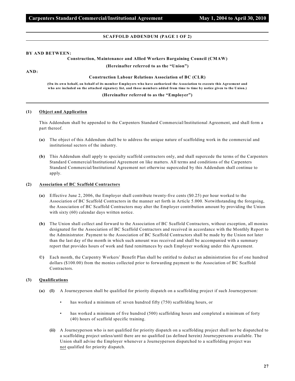#### **SCAFFOLD ADDENDUM (PAGE 1 OF 2)**

#### **BY AND BETWEEN:**

#### **Construction, Maintenance and Allied Workers Bargaining Council (CMAW)**

**(Hereinafter referred to as the "Union")**

**AND:**

#### **Construction Labour Relations Association of BC (CLR)**

**(On its own behalf, on behalf of its member Employers who have authorized the Association to execute this Agreement and who are included on the attached signatory list, and those members added from time to time by notice given to the Union.)**

#### **(Hereinafter referred to as the "Employer")**

#### **(1) Object and Application**

This Addendum shall be appended to the Carpenters Standard Commercial/Institutional Agreement, and shall form a part thereof.

- **(a)** The object of this Addendum shall be to address the unique nature of scaffolding work in the commercial and institutional sectors of the industry.
- **(b)** This Addendum shall apply to specialty scaffold contractors only, and shall supercede the terms of the Carpenters Standard Commercial/Institutional Agreement on like matters. All terms and conditions of the Carpenters Standard Commercial/Institutional Agreement not otherwise superceded by this Addendum shall continue to apply.

#### **(2) Association of BC Scaffold Contractors**

- **(a)** Effective June 2, 2006, the Employer shall contribute twenty-five cents (\$0.25) per hour worked to the Association of BC Scaffold Contractors in the manner set forth in Article 5.000. Notwithstanding the foregoing, the Association of BC Scaffold Contractors may alter the Employer contribution amount by providing the Union with sixty (60) calendar days written notice.
- **(b)** The Union shall collect and forward to the Association of BC Scaffold Contractors, without exception, all monies designated for the Association of BC Scaffold Contractors and received in accordance with the Monthly Report to the Administrator. Payment to the Association of BC Scaffold Contractors shall be made by the Union not later than the last day of the month in which such amount was received and shall be accompanied with a summary report that provides hours of work and fund remittances by each Employer working under this Agreement.
- **©)** Each month, the Carpentry Workers' Benefit Plan shall be entitled to deduct an administration fee of one hundred dollars (\$100.00) from the monies collected prior to forwarding payment to the Association of BC Scaffold Contractors.

#### **(3) Qualifications**

- **(a) (I)** A Journeyperson shall be qualified for priority dispatch on a scaffolding project if such Journeyperson:
	- has worked a minimum of: seven hundred fifty (750) scaffolding hours, or
	- has worked a minimum of five hundred (500) scaffolding hours and completed a minimum of forty (40) hours of scaffold specific training.
	- **(ii)** A Journeyperson who is not qualified for priority dispatch on a scaffolding project shall not be dispatched to a scaffolding project unless/until there are no qualified (as defined herein) Journeypersons available. The Union shall advise the Employer whenever a Journeyperson dispatched to a scaffolding project was not qualified for priority dispatch.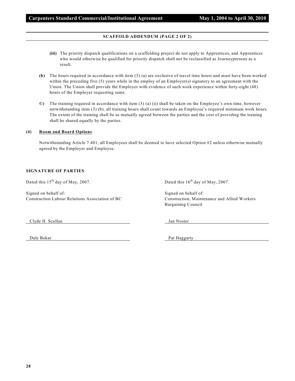## **SCAFFOLD ADDENDUM (PAGE 2 OF 2)**

- **(iii)** The priority dispatch qualifications on a scaffolding project do not apply to Apprentices, and Apprentices who would otherwise be qualified for priority dispatch shall not be reclassified as Journeypersons as a result.
- **(b)** The hours required in accordance with item (3) (a) are exclusive of travel time hours and must have been worked within the preceding five (5) years while in the employ of an Employer(s) signatory to an agreement with the Union. The Union shall provide the Employer with evidence of such work experience within forty-eight (48) hours of the Employer requesting same.
- **©)** The training required in accordance with item (3) (a) (ii) shall be taken on the Employee's own time, however notwithstanding item (3) (b), all training hours shall count towards an Employee's required minimum work hours. The extent of the training shall be as mutually agreed between the parties and the cost of providing the training shall be shared equally by the parties.

#### **(4) Room and Board Options**

Notwithstanding Article 7.401, all Employees shall be deemed to have selected Option #2 unless otherwise mutually agreed by the Employer and Employee.

#### **SIGNATURE OF PARTIES**

Dated this  $15<sup>th</sup>$  day of May, 2007. Dated this  $16<sup>th</sup>$  day of May, 2007.

Signed on behalf of: Signed on behalf of: Signed on behalf of: Construction Labour Relations Association of BC Construction, Maintenance and Allied Workers

Bargaining Council

Clyde H. Scollan Jan Noster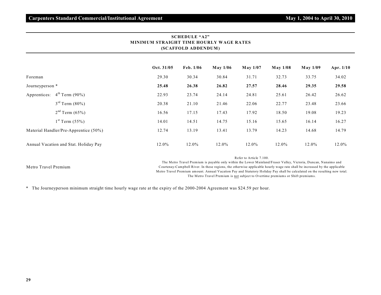| MINIMUM STRAIGHT TIME HOURLY WAGE RATES<br>(SCAFFOLD ADDENDUM) |            |                     |          |                         |          |                 |           |  |  |
|----------------------------------------------------------------|------------|---------------------|----------|-------------------------|----------|-----------------|-----------|--|--|
|                                                                | Oct. 31/05 | $\text{Feb. } 1/06$ | May 1/06 | May 1/07                | May 1/08 | <b>May 1/09</b> | Apr. 1/10 |  |  |
| Foreman                                                        | 29.30      | 30.34               | 30.84    | 31.71                   | 32.73    | 33.75           | 34.02     |  |  |
| Journeyperson *                                                | 25.48      | 26.38               | 26.82    | 27.57                   | 28.46    | 29.35           | 29.58     |  |  |
| $4^{th}$ Term (90%)<br>Apprentices:                            | 22.93      | 23.74               | 24.14    | 24.81                   | 25.61    | 26.42           | 26.62     |  |  |
| $3^{rd}$ Term $(80\%)$                                         | 20.38      | 21.10               | 21.46    | 22.06                   | 22.77    | 23.48           | 23.66     |  |  |
| $2nd$ Term (65%)                                               | 16.56      | 17.15               | 17.43    | 17.92                   | 18.50    | 19.08           | 19.23     |  |  |
| $1^{st}$ Term $(55%)$                                          | 14.01      | 14.51               | 14.75    | 15.16                   | 15.65    | 16.14           | 16.27     |  |  |
| Material Handler/Pre-Apprentice (50%)                          | 12.74      | 13.19               | 13.41    | 13.79                   | 14.23    | 14.68           | 14.79     |  |  |
| Annual Vacation and Stat. Holiday Pay                          | 12.0%      | 12.0%               | 12.0%    | 12.0%                   | 12.0%    | $12.0\%$        | 12.0%     |  |  |
|                                                                |            |                     |          | Refer to Article 7.100. |          |                 |           |  |  |

**SCHEDULE "A2"**

#### Metro Travel Premium

The Metro Travel Premium is payable only within the Lower Mainland/Fraser Valley, Victoria, Duncan, Nanaimo and Courtenay-Campbell River. In these regions, the otherwise applicable hourly wage rate shall be increased by the applicable Metro Travel Premium amount. Annual Vacation Pay and Statutory Holiday Pay shall be calculated on the resulting new total. The Metro Travel Premium is not subject to Overtime premiums or Shift premiums.

\* The Journeyperson minimum straight time hourly wage rate at the expiry of the 2000-2004 Agreement was \$24.59 per hour.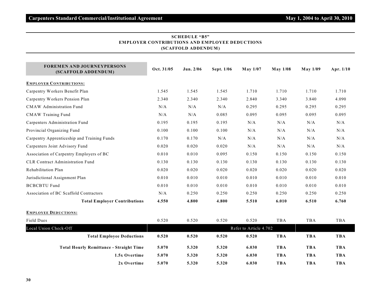| I NIDU LIUNS AND EMILLU I<br>(SCAFFOLD ADDENDUM)         |            |           |            |                        |            |                 |             |  |  |  |
|----------------------------------------------------------|------------|-----------|------------|------------------------|------------|-----------------|-------------|--|--|--|
| <b>FOREMEN AND JOURNEYPERSONS</b><br>(SCAFFOLD ADDENDUM) | Oct. 31/05 | Jun. 2/06 | Sept. 1/06 | May 1/07               | May 1/08   | <b>May 1/09</b> | Apr. $1/10$ |  |  |  |
| <b>EMPLOYER CONTRIBUTIONS:</b>                           |            |           |            |                        |            |                 |             |  |  |  |
| Carpentry Workers Benefit Plan                           | 1.545      | 1.545     | 1.545      | 1.710                  | 1.710      | 1.710           | 1.710       |  |  |  |
| Carpentry Workers Pension Plan                           | 2.340      | 2.340     | 2.340      | 2.840                  | 3.340      | 3.840           | 4.090       |  |  |  |
| <b>CMAW</b> Administration Fund                          | N/A        | N/A       | N/A        | 0.295                  | 0.295      | 0.295           | 0.295       |  |  |  |
| <b>CMAW Training Fund</b>                                | N/A        | N/A       | 0.085      | 0.095                  | 0.095      | 0.095           | 0.095       |  |  |  |
| Carpenters Administration Fund                           | 0.195      | 0.195     | 0.195      | N/A                    | N/A        | N/A             | $\rm N/A$   |  |  |  |
| Provincial Organizing Fund                               | 0.100      | 0.100     | 0.100      | N/A                    | N/A        | N/A             | N/A         |  |  |  |
| Carpentry Apprenticeship and Training Funds              | 0.170      | 0.170     | N/A        | N/A                    | N/A        | N/A             | N/A         |  |  |  |
| Carpenters Joint Advisory Fund                           | 0.020      | 0.020     | 0.020      | N/A                    | N/A        | N/A             | $\rm N/A$   |  |  |  |
| Association of Carpentry Employers of BC                 | 0.010      | 0.010     | 0.095      | 0.150                  | 0.150      | 0.150           | 0.150       |  |  |  |
| <b>CLR Contract Administration Fund</b>                  | 0.130      | 0.130     | 0.130      | 0.130                  | 0.130      | 0.130           | 0.130       |  |  |  |
| Rehabilitation Plan                                      | 0.020      | 0.020     | 0.020      | 0.020                  | 0.020      | 0.020           | 0.020       |  |  |  |
| Jurisdictional Assignment Plan                           | 0.010      | 0.010     | 0.010      | 0.010                  | 0.010      | 0.010           | 0.010       |  |  |  |
| <b>BCBCBTU Fund</b>                                      | 0.010      | 0.010     | 0.010      | 0.010                  | 0.010      | 0.010           | 0.010       |  |  |  |
| Association of BC Scaffold Contractors                   | N/A        | 0.250     | 0.250      | 0.250                  | 0.250      | 0.250           | 0.250       |  |  |  |
| <b>Total Employer Contributions</b>                      | 4.550      | 4.800     | 4.800      | 5.510                  | 6.010      | 6.510           | 6.760       |  |  |  |
| <b>EMPLOYEE DEDUCTIONS:</b>                              |            |           |            |                        |            |                 |             |  |  |  |
| <b>Field Dues</b>                                        | 0.520      | 0.520     | 0.520      | 0.520                  | TBA        | TBA             | TBA         |  |  |  |
| Local Union Check-Off                                    |            |           |            | Refer to Article 4.702 |            |                 |             |  |  |  |
| <b>Total Employee Deductions</b>                         | 0.520      | 0.520     | 0.520      | 0.520                  | <b>TBA</b> | <b>TBA</b>      | <b>TBA</b>  |  |  |  |
| <b>Total Hourly Remittance - Straight Time</b>           | 5.070      | 5.320     | 5.320      | 6.030                  | <b>TBA</b> | <b>TBA</b>      | <b>TBA</b>  |  |  |  |
| 1.5x Overtime                                            | 5.070      | 5.320     | 5.320      | 6.030                  | <b>TBA</b> | <b>TBA</b>      | <b>TBA</b>  |  |  |  |
| 2x Overtime                                              | 5.070      | 5.320     | 5.320      | 6.030                  | <b>TBA</b> | <b>TBA</b>      | <b>TBA</b>  |  |  |  |

# **SCHEDULE "B5" EMPLOYER CONTRIBUTIONS AND EMPLOYEE DEDUCTIONS**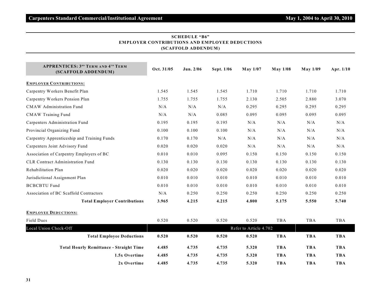| <b>APPRENTICES: 3RD TERM AND 4TH TERM</b>      |            |           |            |                        |                 |            |            |
|------------------------------------------------|------------|-----------|------------|------------------------|-----------------|------------|------------|
| (SCAFFOLD ADDENDUM)                            | Oct. 31/05 | Jun. 2/06 | Sept. 1/06 | <b>May 1/07</b>        | <b>May 1/08</b> | May 1/09   | Apr. 1/10  |
| <b>EMPLOYER CONTRIBUTIONS:</b>                 |            |           |            |                        |                 |            |            |
| Carpentry Workers Benefit Plan                 | 1.545      | 1.545     | 1.545      | 1.710                  | 1.710           | 1.710      | 1.710      |
| Carpentry Workers Pension Plan                 | 1.755      | 1.755     | 1.755      | 2.130                  | 2.505           | 2.880      | 3.070      |
| <b>CMAW</b> Administration Fund                | N/A        | N/A       | N/A        | 0.295                  | 0.295           | 0.295      | 0.295      |
| <b>CMAW Training Fund</b>                      | N/A        | N/A       | 0.085      | 0.095                  | 0.095           | 0.095      | 0.095      |
| Carpenters Administration Fund                 | 0.195      | 0.195     | 0.195      | N/A                    | N/A             | N/A        | N/A        |
| Provincial Organizing Fund                     | 0.100      | 0.100     | 0.100      | N/A                    | N/A             | N/A        | N/A        |
| Carpentry Apprenticeship and Training Funds    | 0.170      | 0.170     | N/A        | N/A                    | N/A             | N/A        | N/A        |
| Carpenters Joint Advisory Fund                 | 0.020      | 0.020     | 0.020      | N/A                    | N/A             | N/A        | N/A        |
| Association of Carpentry Employers of BC       | 0.010      | 0.010     | 0.095      | 0.150                  | 0.150           | 0.150      | 0.150      |
| <b>CLR Contract Administration Fund</b>        | 0.130      | 0.130     | 0.130      | 0.130                  | 0.130           | 0.130      | 0.130      |
| Rehabilitation Plan                            | 0.020      | 0.020     | 0.020      | 0.020                  | 0.020           | 0.020      | 0.020      |
| Jurisdictional Assignment Plan                 | 0.010      | 0.010     | 0.010      | 0.010                  | 0.010           | 0.010      | 0.010      |
| <b>BCBCBTU Fund</b>                            | 0.010      | 0.010     | 0.010      | 0.010                  | 0.010           | 0.010      | 0.010      |
| Association of BC Scaffold Contractors         | N/A        | 0.250     | 0.250      | 0.250                  | 0.250           | 0.250      | 0.250      |
| <b>Total Employer Contributions</b>            | 3.965      | 4.215     | 4.215      | 4.800                  | 5.175           | 5.550      | 5.740      |
| <b>EMPLOYEE DEDUCTIONS:</b>                    |            |           |            |                        |                 |            |            |
| <b>Field Dues</b>                              | 0.520      | 0.520     | 0.520      | 0.520                  | <b>TBA</b>      | <b>TBA</b> | TBA        |
| Local Union Check-Off                          |            |           |            | Refer to Article 4.702 |                 |            |            |
| <b>Total Employee Deductions</b>               | 0.520      | 0.520     | 0.520      | 0.520                  | <b>TBA</b>      | <b>TBA</b> | <b>TBA</b> |
| <b>Total Hourly Remittance - Straight Time</b> | 4.485      | 4.735     | 4.735      | 5.320                  | <b>TBA</b>      | <b>TBA</b> | <b>TBA</b> |
| 1.5x Overtime                                  | 4.485      | 4.735     | 4.735      | 5.320                  | <b>TBA</b>      | <b>TBA</b> | <b>TBA</b> |
| 2x Overtime                                    | 4.485      | 4.735     | 4.735      | 5.320                  | <b>TBA</b>      | <b>TBA</b> | <b>TBA</b> |

# **SCHEDULE "B6" EMPLOYER CONTRIBUTIONS AND EMPLOYEE DEDUCTIONS (SCAFFOLD ADDENDUM )**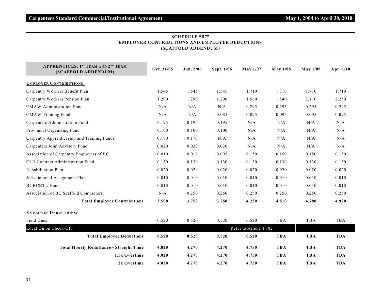| <b>APPRENTICES: 1ST TERM AND 2ND TERM</b>      |                        |           |            |                 |                 |            |            |  |  |
|------------------------------------------------|------------------------|-----------|------------|-----------------|-----------------|------------|------------|--|--|
| (SCAFFOLD ADDENDUM)                            | Oct. 31/05             | Jun. 2/06 | Sept. 1/06 | <b>May 1/07</b> | <b>May 1/08</b> | May 1/09   | Apr. 1/10  |  |  |
| <b>EMPLOYER CONTRIBUTIONS:</b>                 |                        |           |            |                 |                 |            |            |  |  |
| Carpentry Workers Benefit Plan                 | 1.545                  | 1.545     | 1.545      | 1.710           | 1.710           | 1.710      | 1.710      |  |  |
| Carpentry Workers Pension Plan                 | 1.290                  | 1.290     | 1.290      | 1.560           | 1.840           | 2.110      | 2.250      |  |  |
| <b>CMAW</b> Administration Fund                | N/A                    | N/A       | N/A        | 0.295           | 0.295           | 0.295      | 0.295      |  |  |
| <b>CMAW Training Fund</b>                      | N/A                    | N/A       | 0.085      | 0.095           | 0.095           | 0.095      | 0.095      |  |  |
| Carpenters Administration Fund                 | 0.195                  | 0.195     | 0.195      | N/A             | N/A             | N/A        | N/A        |  |  |
| Provincial Organizing Fund                     | 0.100                  | 0.100     | 0.100      | N/A             | N/A             | N/A        | N/A        |  |  |
| Carpentry Apprenticeship and Training Funds    | 0.170                  | 0.170     | N/A        | N/A             | N/A             | N/A        | N/A        |  |  |
| Carpenters Joint Advisory Fund                 | 0.020                  | 0.020     | 0.020      | N/A             | N/A             | N/A        | N/A        |  |  |
| Association of Carpentry Employers of BC       | 0.010                  | 0.010     | 0.095      | 0.150           | 0.150           | 0.150      | 0.150      |  |  |
| <b>CLR Contract Administration Fund</b>        | 0.130                  | 0.130     | 0.130      | 0.130           | 0.130           | 0.130      | 0.130      |  |  |
| Rehabilitation Plan                            | 0.020                  | 0.020     | 0.020      | 0.020           | 0.020           | 0.020      | 0.020      |  |  |
| Jurisdictional Assignment Plan                 | 0.010                  | 0.010     | 0.010      | 0.010           | 0.010           | 0.010      | 0.010      |  |  |
| <b>BCBCBTU Fund</b>                            | 0.010                  | 0.010     | 0.010      | 0.010           | 0.010           | 0.010      | 0.010      |  |  |
| Association of BC Scaffold Contractors         | N/A                    | 0.250     | 0.250      | 0.250           | 0.250           | 0.250      | 0.250      |  |  |
| <b>Total Employer Contributions</b>            | 3.500                  | 3.750     | 3.750      | 4.230           | 4.510           | 4.780      | 4.920      |  |  |
| <b>EMPLOYEE DEDUCTIONS:</b>                    |                        |           |            |                 |                 |            |            |  |  |
| <b>Field Dues</b>                              | 0.520                  | 0.520     | 0.520      | 0.520           | <b>TBA</b>      | <b>TBA</b> | TBA        |  |  |
| Local Union Check-Off                          | Refer to Article 4.702 |           |            |                 |                 |            |            |  |  |
| <b>Total Employee Deductions</b>               | 0.520                  | 0.520     | 0.520      | 0.520           | <b>TBA</b>      | <b>TBA</b> | <b>TBA</b> |  |  |
| <b>Total Hourly Remittance - Straight Time</b> | 4.020                  | 4.270     | 4.270      | 4.750           | <b>TBA</b>      | <b>TBA</b> | <b>TBA</b> |  |  |
| 1.5x Overtime                                  | 4.020                  | 4.270     | 4.270      | 4.750           | <b>TBA</b>      | <b>TBA</b> | <b>TBA</b> |  |  |
| 2x Overtime                                    | 4.020                  | 4.270     | 4.270      | 4.750           | <b>TBA</b>      | <b>TBA</b> | <b>TBA</b> |  |  |

# **SCHEDULE "B7" EMPLOYER CONTRIBUTIONS AND EMPLOYEE DEDUCTIONS (SCAFFOLD ADDENDUM )**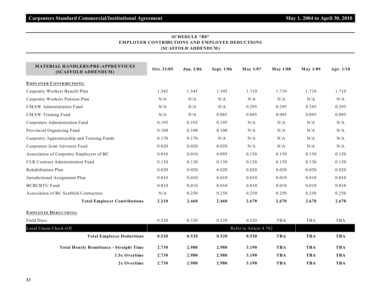| (SCAFFOLD ADDENDUM)                                             |                        |           |            |                 |                 |                 |            |  |  |  |  |
|-----------------------------------------------------------------|------------------------|-----------|------------|-----------------|-----------------|-----------------|------------|--|--|--|--|
| <b>MATERIAL HANDLERS/PRE-APPRENTICES</b><br>(SCAFFOLD ADDENDUM) | Oct. 31/05             | Jun. 2/06 | Sept. 1/06 | <b>May 1/07</b> | <b>May 1/08</b> | <b>May 1/09</b> | Apr. 1/10  |  |  |  |  |
| <b>EMPLOYER CONTRIBUTIONS:</b>                                  |                        |           |            |                 |                 |                 |            |  |  |  |  |
| Carpentry Workers Benefit Plan                                  | 1.545                  | 1.545     | 1.545      | 1.710           | 1.710           | 1.710           | 1.710      |  |  |  |  |
| Carpentry Workers Pension Plan                                  | N/A                    | N/A       | N/A        | N/A             | N/A             | N/A             | N/A        |  |  |  |  |
| <b>CMAW</b> Administration Fund                                 | N/A                    | $\rm N/A$ | $\rm N/A$  | 0.295           | 0.295           | 0.295           | 0.295      |  |  |  |  |
| <b>CMAW Training Fund</b>                                       | N/A                    | N/A       | 0.085      | 0.095           | 0.095           | 0.095           | 0.095      |  |  |  |  |
| Carpenters Administration Fund                                  | 0.195                  | 0.195     | 0.195      | N/A             | N/A             | N/A             | N/A        |  |  |  |  |
| Provincial Organizing Fund                                      | 0.100                  | 0.100     | 0.100      | N/A             | N/A             | N/A             | N/A        |  |  |  |  |
| Carpentry Apprenticeship and Training Funds                     | 0.170                  | 0.170     | N/A        | N/A             | N/A             | N/A             | N/A        |  |  |  |  |
| Carpenters Joint Advisory Fund                                  | 0.020                  | 0.020     | 0.020      | N/A             | N/A             | N/A             | $\rm N/A$  |  |  |  |  |
| Association of Carpentry Employers of BC                        | 0.010                  | 0.010     | 0.095      | 0.150           | 0.150           | 0.150           | 0.150      |  |  |  |  |
| <b>CLR Contract Administration Fund</b>                         | 0.130                  | 0.130     | 0.130      | 0.130           | 0.130           | 0.130           | 0.130      |  |  |  |  |
| Rehabilitation Plan                                             | 0.020                  | 0.020     | 0.020      | 0.020           | 0.020           | 0.020           | 0.020      |  |  |  |  |
| Jurisdictional Assignment Plan                                  | 0.010                  | 0.010     | 0.010      | 0.010           | 0.010           | 0.010           | 0.010      |  |  |  |  |
| <b>BCBCBTU Fund</b>                                             | 0.010                  | 0.010     | 0.010      | 0.010           | 0.010           | 0.010           | 0.010      |  |  |  |  |
| Association of BC Scaffold Contractors                          | N/A                    | 0.250     | 0.250      | 0.250           | 0.250           | 0.250           | 0.250      |  |  |  |  |
| <b>Total Employer Contributions</b>                             | 2.210                  | 2.460     | 2.460      | 2.670           | 2.670           | 2.670           | 2.670      |  |  |  |  |
| <b>EMPLOYEE DEDUCTIONS:</b>                                     |                        |           |            |                 |                 |                 |            |  |  |  |  |
| Field Dues                                                      | 0.520                  | 0.520     | 0.520      | 0.520           | TBA             | TBA             | TBA        |  |  |  |  |
| Local Union Check-Off                                           | Refer to Article 4.702 |           |            |                 |                 |                 |            |  |  |  |  |
| <b>Total Employee Deductions</b>                                | 0.520                  | 0.520     | 0.520      | 0.520           | <b>TBA</b>      | <b>TBA</b>      | <b>TBA</b> |  |  |  |  |
| <b>Total Hourly Remittance - Straight Time</b>                  | 2.730                  | 2.980     | 2.980      | 3.190           | <b>TBA</b>      | <b>TBA</b>      | <b>TBA</b> |  |  |  |  |
| 1.5x Overtime                                                   | 2.730                  | 2.980     | 2.980      | 3.190           | <b>TBA</b>      | <b>TBA</b>      | <b>TBA</b> |  |  |  |  |
| 2x Overtime                                                     | 2.730                  | 2.980     | 2.980      | 3.190           | <b>TBA</b>      | <b>TBA</b>      | <b>TBA</b> |  |  |  |  |

# **SCHEDULE "B8" EMPLOYER CONTRIBUTIONS AND EMPLOYEE DEDUCTIONS (SCAFFOLD ADDENDUM )**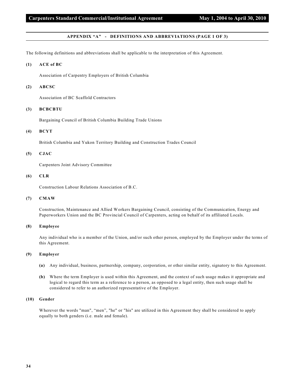#### **APPENDIX "A" - DEFINITIONS AND ABBREVIATIONS (PAGE 1 OF 3)**

The following definitions and abbreviations shall be applicable to the interpretation of this Agreement.

#### **(1) ACE of BC**

Association of Carpentry Employers of British Columbia

#### **(2) ABCSC**

Association of BC Scaffold Contractors

#### **(3) BCBCBTU**

Bargaining Council of British Columbia Building Trade Unions

#### **(4) BCYT**

British Columbia and Yukon Territory Building and Construction Trades Council

# **(5) CJAC**

Carpenters Joint Advisory Committee

#### **(6) CLR**

Construction Labour Relations Association of B.C.

# **(7) CMAW**

Construction, Maintenance and Allied Workers Bargaining Council, consisting of the Communication, Energy and Paperworkers Union and the BC Provincial Council of Carpenters, acting on behalf of its affiliated Locals.

# **(8) Employee**

Any individual who is a member of the Union, and/or such other person, employed by the Employer under the terms of this Agreement.

#### **(9) Employer**

- **(a)** Any individual, business, partnership, company, corporation, or other similar entity, signatory to this Agreement.
- **(b)** Where the term Employer is used within this Agreement, and the context of such usage makes it appropriate and logical to regard this term as a reference to a person, as opposed to a legal entity, then such usage shall be considered to refer to an authorized representative of the Employer.

#### **(10) Gender**

Wherever the words "man", "men", "he" or "his" are utilized in this Agreement they shall be considered to apply equally to both genders (i.e. male and female).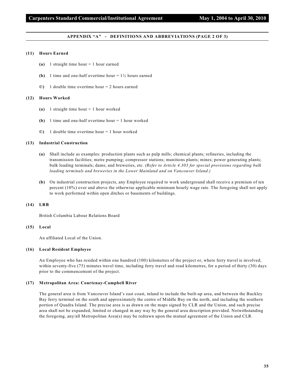#### **APPENDIX "A" - DEFINITIONS AND ABBREVIATIONS (PAGE 2 OF 3)**

#### **(11) Hours Earned**

- **(a)** 1 straight time hour = 1 hour earned
- **(b)** 1 time and one-half overtime hour  $= 1\frac{1}{2}$  hours earned
- **©)** 1 double time overtime hour = 2 hours earned

#### **(12) Hours Worked**

- **(a)** 1 straight time hour = 1 hour worked
- **(b)** 1 time and one-half overtime hour = 1 hour worked
- **©)** 1 double time overtime hour = 1 hour worked

#### **(13) Industrial Construction**

- **(a)** Shall include as examples: production plants such as pulp mills; chemical plants; refineries, including the transmission facilities; metre pumping; compressor stations; munitions plants; mines; power generating plants; bulk loading terminals; dams; and breweries, etc. *(Refer to Article 4.303 for special provisions regarding bulk loading terminals and breweries in the Lower Mainland and on Vancouver Island.)*
- **(b)** On industrial construction projects, any Employee required to work underground shall receive a premium of ten percent (10%) over and above the otherwise applicable minimum hourly wage rate. The foregoing shall not apply to work performed within open ditches or basements of buildings.

#### **(14) LRB**

British Columbia Labour Relations Board

#### **(15) Local**

An affiliated Local of the Union.

#### **(16) Local Resident Employee**

An Employee who has resided within one hundred (100) kilometres of the project or, where ferry travel is involved, within seventy-five (75) minutes travel time, including ferry travel and road kilometres, for a period of thirty (30) days prior to the commencement of the project.

#### **(17) Metropolitan Area: Courtenay-Campbell River**

The general area is from Vancouver Island's east coast, inland to include the built-up area, and between the Buckley Bay ferry terminal on the south and approximately the centre of Middle Bay on the north, and including the southern portion of Quadra Island. The precise area is as drawn on the maps signed by CLR and the Union, and such precise area shall not be expanded, limited or changed in any way by the general area description provided. Notwithstanding the foregoing, any/all Metropolitan Area(s) may be redrawn upon the mutual agreement of the Union and CLR.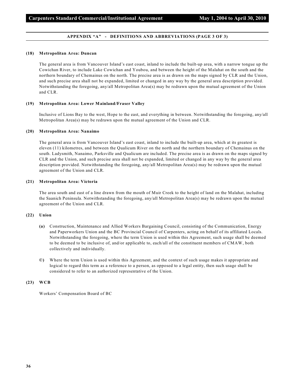#### **APPENDIX "A" - DEFINITIONS AND ABBREVIATIONS (PAGE 3 OF 3)**

#### **(18) Metropolitan Area: Duncan**

The general area is from Vancouver Island's east coast, inland to include the built-up area, with a narrow tongue up the Cowichan River, to include Lake Cowichan and Youbou, and between the height of the Malahat on the south and the northern boundary of Chemainus on the north. The precise area is as drawn on the maps signed by CLR and the Union, and such precise area shall not be expanded, limited or changed in any way by the general area description provided. Notwithstanding the foregoing, any/all Metropolitan Area(s) may be redrawn upon the mutual agreement of the Union and CLR.

#### **(19) Metropolitan Area: Lower Mainland/Fraser Valley**

Inclusive of Lions Bay to the west, Hope to the east, and everything in between. Notwithstanding the foregoing, any/all Metropolitan Area(s) may be redrawn upon the mutual agreement of the Union and CLR.

#### **(20) Metropolitan Area: Nanaimo**

The general area is from Vancouver Island's east coast, inland to include the built-up area, which at its greatest is eleven (11) kilometres, and between the Qualicum River on the north and the northern boundary of Chemainus on the south. Ladysmith, Nanaimo, Parksville and Qualicum are included. The precise area is as drawn on the maps signed by CLR and the Union, and such precise area shall not be expanded, limited or changed in any way by the general area description provided. Notwithstanding the foregoing, any/all Metropolitan Area(s) may be redrawn upon the mutual agreement of the Union and CLR.

#### **(21) Metropolitan Area: Victoria**

The area south and east of a line drawn from the mouth of Muir Creek to the height of land on the Malahat, including the Saanich Peninsula. Notwithstanding the foregoing, any/all Metropolitan Area(s) may be redrawn upon the mutual agreement of the Union and CLR.

#### **(22) Union**

- **(a)** Construction, Maintenance and Allied Workers Bargaining Council, consisting of the Communication, Energy and Paperworkers Union and the BC Provincial Council of Carpenters, acting on behalf of its affiliated Locals. Notwithstanding the foregoing, where the term Union is used within this Agreement, such usage shall be deemed to be deemed to be inclusive of, and/or applicable to, each/all of the constituent members of CMAW, both collectively and individually.
- **©)** Where the term Union is used within this Agreement, and the context of such usage makes it appropriate and logical to regard this term as a reference to a person, as opposed to a legal entity, then such usage shall be considered to refer to an authorized representative of the Union.

#### **(23) WCB**

Workers' Compensation Board of BC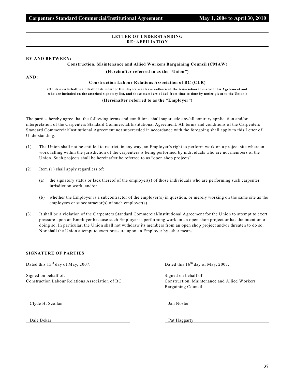## **LETTER OF UNDERSTANDING RE: AFFILIATION**

#### **BY AND BETWEEN:**

# **Construction, Maintenance and Allied Workers Bargaining Council (CMAW)**

**(Hereinafter referred to as the "Union")**

**AND:**

#### **Construction Labour Relations Association of BC (CLR)**

**(On its own behalf, on behalf of its member Employers who have authorized the Association to execute this Agreement and who are included on the attached signatory list, and those members added from time to time by notice given to the Union.)**

# **(Hereinafter referred to as the "Employer")**

The parties hereby agree that the following terms and conditions shall supercede any/all contrary application and/or interpretation of the Carpenters Standard Commercial/Institutional Agreement. All terms and conditions of the Carpenters Standard Commercial/Institutional Agreement not superceded in accordance with the foregoing shall apply to this Letter of Understanding.

- (1) The Union shall not be entitled to restrict, in any way, an Employer's right to perform work on a project site whereon work falling within the jurisdiction of the carpenters is being performed by individuals who are not members of the Union. Such projects shall be hereinafter be referred to as "open shop projects".
- (2) Item (1) shall apply regardless of:
	- (a) the signatory status or lack thereof of the employer(s) of those individuals who are performing such carpenter jurisdiction work, and/or
	- (b) whether the Employer is a subcontractor of the employer(s) in question, or merely working on the same site as the employees or subcontractor(s) of such employer(s).
- (3) It shall be a violation of the Carpenters Standard Commercial/Institutional Agreement for the Union to attempt to exert pressure upon an Employer because such Employer is performing work on an open shop project or has the intention of doing so. In particular, the Union shall not withdraw its members from an open shop project and/or threaten to do so. Nor shall the Union attempt to exert pressure upon an Employer by other means.

## **SIGNATURE OF PARTIES**

Dated this  $15<sup>th</sup>$  day of May, 2007. Dated this  $16<sup>th</sup>$  day of May, 2007.

Signed on behalf of: Signed on behalf of: Signed on behalf of: Construction Labour Relations Association of BC Construction, Maintenance and Allied Workers

Bargaining Council

Clyde H. Scollan Jan Noster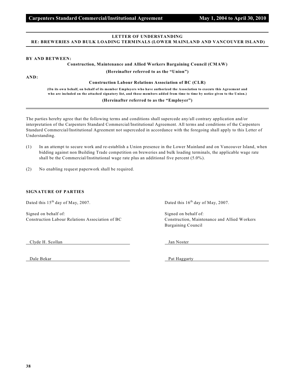# **LETTER OF UNDERSTANDING RE: BREWERIES AND BULK LOADING TERMINALS (LOWER MAINLAND AND VANCOUVER ISLAND)**

#### **BY AND BETWEEN:**

**Construction, Maintenance and Allied Workers Bargaining Council (CMAW)**

**(Hereinafter referred to as the "Union")**

**AND:**

**Construction Labour Relations Association of BC (CLR)**

**(On its own behalf, on behalf of its member Employers who have authorized the Association to execute this Agreement and who are included on the attached signatory list, and those members added from time to time by notice given to the Union.)**

**(Hereinafter referred to as the "Employer")**

The parties hereby agree that the following terms and conditions shall supercede any/all contrary application and/or interpretation of the Carpenters Standard Commercial/Institutional Agreement. All terms and conditions of the Carpenters Standard Commercial/Institutional Agreement not superceded in accordance with the foregoing shall apply to this Letter of Understanding.

- (1) In an attempt to secure work and re-establish a Union presence in the Lower Mainland and on Vancouver Island, when bidding against non Building Trade competition on breweries and bulk loading terminals, the applicable wage rate shall be the Commercial/Institutional wage rate plus an additional five percent (5.0%).
- (2) No enabling request paperwork shall be required.

#### **SIGNATURE OF PARTIES**

Dated this 15<sup>th</sup> day of May, 2007. Dated this 16<sup>th</sup> day of May, 2007.

Signed on behalf of: Signed on behalf of: Signed on behalf of: Construction Labour Relations Association of BC Construction, Maintenance and Allied Workers

Bargaining Council

Clyde H. Scollan Jan Noster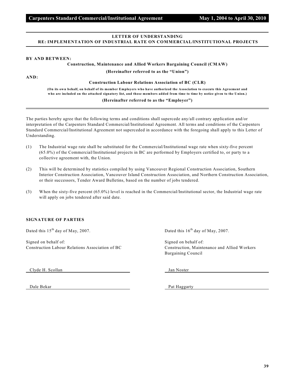# **LETTER OF UNDERSTANDING RE: IMPLEMENTATION OF INDUSTRIAL RATE ON COMMERCIAL/INSTITUTIONAL PROJECTS**

#### **BY AND BETWEEN:**

**Construction, Maintenance and Allied Workers Bargaining Council (CMAW)**

**(Hereinafter referred to as the "Union")**

**AND:**

**Construction Labour Relations Association of BC (CLR)**

**(On its own behalf, on behalf of its member Employers who have authorized the Association to execute this Agreement and who are included on the attached signatory list, and those members added from time to time by notice given to the Union.)**

## **(Hereinafter referred to as the "Employer")**

The parties hereby agree that the following terms and conditions shall supercede any/all contrary application and/or interpretation of the Carpenters Standard Commercial/Institutional Agreement. All terms and conditions of the Carpenters Standard Commercial/Institutional Agreement not superceded in accordance with the foregoing shall apply to this Letter of Understanding.

- (1) The Industrial wage rate shall be substituted for the Commercial/Institutional wage rate when sixty-five percent (65.0%) of the Commercial/Institutional projects in BC are performed by Employers certified to, or party to a collective agreement with, the Union.
- (2) This will be determined by statistics compiled by using Vancouver Regional Construction Association, Southern Interior Construction Association, Vancouver Island Construction Association, and Northern Construction Association, or their successors, Tender Award Bulletins, based on the number of jobs tendered.
- (3) When the sixty-five percent (65.0%) level is reached in the Commercial/Institutional sector, the Industrial wage rate will apply on jobs tendered after said date.

## **SIGNATURE OF PARTIES**

Dated this  $15<sup>th</sup>$  day of May, 2007. Dated this  $16<sup>th</sup>$  day of May, 2007.

Signed on behalf of: Signed on behalf of: Signed on behalf of: Construction Labour Relations Association of BC Construction, Maintenance and Allied Workers

Bargaining Council

Clyde H. Scollan Jan Noster